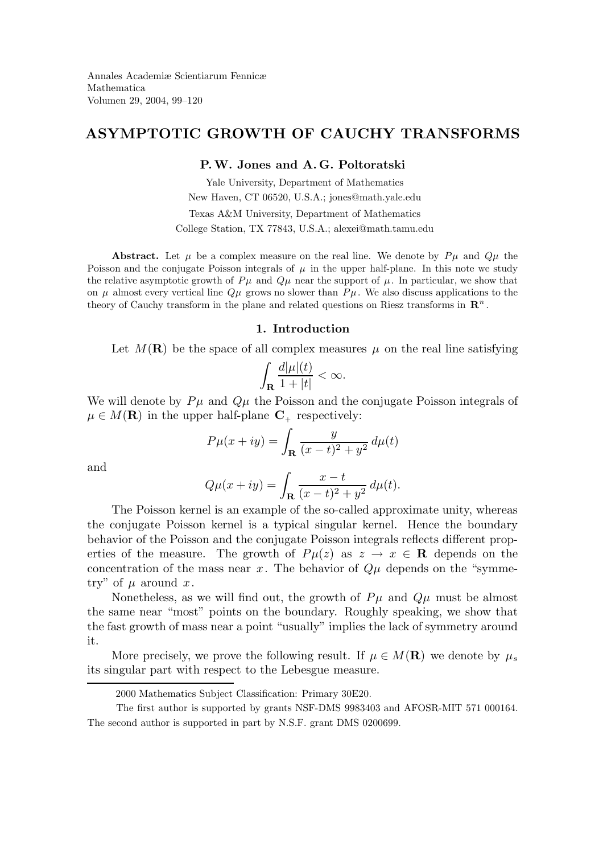# ASYMPTOTIC GROWTH OF CAUCHY TRANSFORMS

### P.W. Jones and A. G. Poltoratski

Yale University, Department of Mathematics New Haven, CT 06520, U.S.A.; jones@math.yale.edu Texas A&M University, Department of Mathematics College Station, TX 77843, U.S.A.; alexei@math.tamu.edu

Abstract. Let  $\mu$  be a complex measure on the real line. We denote by  $P\mu$  and  $Q\mu$  the Poisson and the conjugate Poisson integrals of  $\mu$  in the upper half-plane. In this note we study the relative asymptotic growth of  $P\mu$  and  $Q\mu$  near the support of  $\mu$ . In particular, we show that on  $\mu$  almost every vertical line  $Q\mu$  grows no slower than  $P\mu$ . We also discuss applications to the theory of Cauchy transform in the plane and related questions on Riesz transforms in  $\mathbb{R}^n$ .

## 1. Introduction

Let  $M(\mathbf{R})$  be the space of all complex measures  $\mu$  on the real line satisfying

$$
\int_{\bf R}\frac{d|\mu|(t)}{1+|t|}<\infty.
$$

We will denote by  $P\mu$  and  $Q\mu$  the Poisson and the conjugate Poisson integrals of  $\mu \in M(\mathbf{R})$  in the upper half-plane  $\mathbf{C}_{+}$  respectively:

$$
P\mu(x+iy) = \int_{\mathbf{R}} \frac{y}{(x-t)^2 + y^2} d\mu(t)
$$

and

$$
Q\mu(x+iy) = \int_{\mathbf{R}} \frac{x-t}{(x-t)^2 + y^2} d\mu(t).
$$

The Poisson kernel is an example of the so-called approximate unity, whereas the conjugate Poisson kernel is a typical singular kernel. Hence the boundary behavior of the Poisson and the conjugate Poisson integrals reflects different properties of the measure. The growth of  $P\mu(z)$  as  $z \to x \in \mathbb{R}$  depends on the concentration of the mass near x. The behavior of  $Q\mu$  depends on the "symmetry" of  $\mu$  around x.

Nonetheless, as we will find out, the growth of  $P\mu$  and  $Q\mu$  must be almost the same near "most" points on the boundary. Roughly speaking, we show that the fast growth of mass near a point "usually" implies the lack of symmetry around it.

More precisely, we prove the following result. If  $\mu \in M(\mathbf{R})$  we denote by  $\mu_s$ its singular part with respect to the Lebesgue measure.

<sup>2000</sup> Mathematics Subject Classification: Primary 30E20.

The first author is supported by grants NSF-DMS 9983403 and AFOSR-MIT 571 000164. The second author is supported in part by N.S.F. grant DMS 0200699.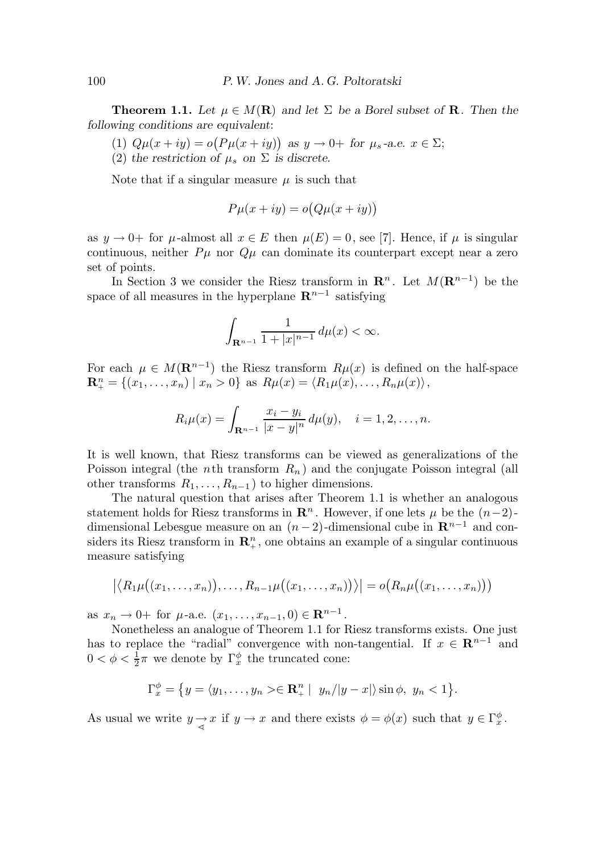**Theorem 1.1.** Let  $\mu \in M(\mathbf{R})$  and let  $\Sigma$  be a Borel subset of **R**. Then the following conditions are equivalent:

- (1)  $Q\mu(x+iy) = o(P\mu(x+iy))$  as  $y \to 0+$  for  $\mu_s$ -a.e.  $x \in \Sigma$ ;
- (2) the restriction of  $\mu_s$  on  $\Sigma$  is discrete.

Note that if a singular measure  $\mu$  is such that

$$
P\mu(x+iy) = o(Q\mu(x+iy))
$$

as  $y \to 0^+$  for  $\mu$ -almost all  $x \in E$  then  $\mu(E) = 0$ , see [7]. Hence, if  $\mu$  is singular continuous, neither  $P\mu$  nor  $Q\mu$  can dominate its counterpart except near a zero set of points.

In Section 3 we consider the Riesz transform in  $\mathbb{R}^n$ . Let  $M(\mathbb{R}^{n-1})$  be the space of all measures in the hyperplane  $\mathbb{R}^{n-1}$  satisfying

$$
\int_{{\bf R}^{n-1}} \frac{1}{1+|x|^{n-1}}\, d\mu(x) <\infty.
$$

For each  $\mu \in M(\mathbf{R}^{n-1})$  the Riesz transform  $R\mu(x)$  is defined on the half-space  $\mathbf{R}_{+}^{n} = \{ (x_1, \ldots, x_n) \mid x_n > 0 \}$  as  $R\mu(x) = \langle R_1\mu(x), \ldots, R_n\mu(x) \rangle$ ,

$$
R_i \mu(x) = \int_{\mathbf{R}^{n-1}} \frac{x_i - y_i}{|x - y|^n} d\mu(y), \quad i = 1, 2, \dots, n.
$$

It is well known, that Riesz transforms can be viewed as generalizations of the Poisson integral (the *n*th transform  $R_n$ ) and the conjugate Poisson integral (all other transforms  $R_1, \ldots, R_{n-1}$  to higher dimensions.

The natural question that arises after Theorem 1.1 is whether an analogous statement holds for Riesz transforms in  $\mathbb{R}^n$ . However, if one lets  $\mu$  be the  $(n-2)$ dimensional Lebesgue measure on an  $(n-2)$ -dimensional cube in  $\mathbb{R}^{n-1}$  and considers its Riesz transform in  $\mathbb{R}^n_+$ , one obtains an example of a singular continuous measure satisfying

$$
\big| \langle R_1 \mu((x_1,\ldots,x_n)),\ldots,R_{n-1} \mu((x_1,\ldots,x_n)) \rangle \big| = o(R_n \mu((x_1,\ldots,x_n)))
$$

as  $x_n \to 0^+$  for  $\mu$ -a.e.  $(x_1, \ldots, x_{n-1}, 0) \in \mathbb{R}^{n-1}$ .

Nonetheless an analogue of Theorem 1.1 for Riesz transforms exists. One just has to replace the "radial" convergence with non-tangential. If  $x \in \mathbb{R}^{n-1}$  and  $0 < \phi < \frac{1}{2}$  $\frac{1}{2}\pi$  we denote by  $\Gamma_x^{\phi}$  the truncated cone:

$$
\Gamma_x^{\phi} = \{ y = \langle y_1, \dots, y_n \rangle \in \mathbf{R}_+^n \mid y_n / |y - x| \rangle \sin \phi, \ y_n < 1 \}.
$$

As usual we write  $y \to x$  if  $y \to x$  and there exists  $\phi = \phi(x)$  such that  $y \in \Gamma_x^{\phi}$ .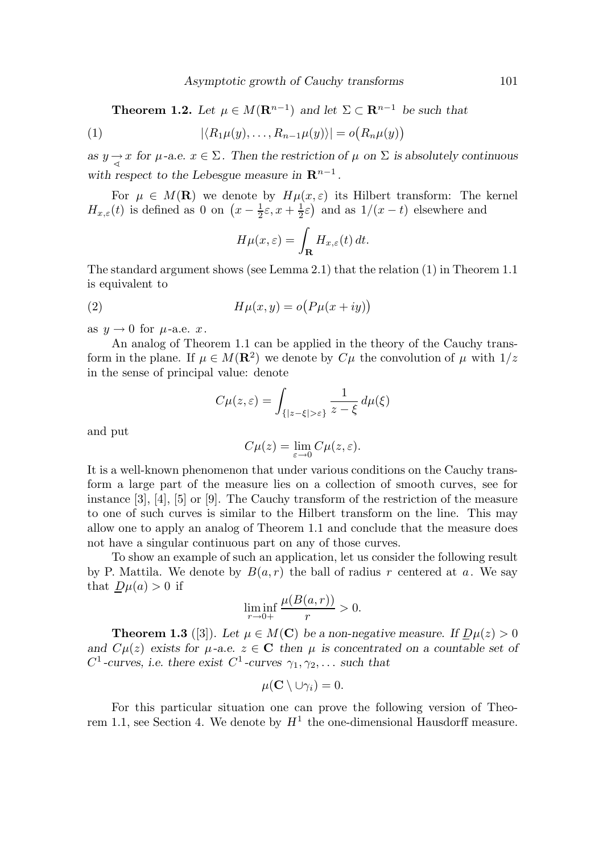**Theorem 1.2.** Let  $\mu \in M(\mathbf{R}^{n-1})$  and let  $\Sigma \subset \mathbf{R}^{n-1}$  be such that

(1) 
$$
|\langle R_1\mu(y),\ldots,R_{n-1}\mu(y)\rangle|=o(R_n\mu(y))
$$

as  $y \rightarrow x$  for  $\mu$ -a.e.  $x \in \Sigma$ . Then the restriction of  $\mu$  on  $\Sigma$  is absolutely continuous with respect to the Lebesgue measure in  $\mathbb{R}^{n-1}$ .

For  $\mu \in M(\mathbf{R})$  we denote by  $H\mu(x,\varepsilon)$  its Hilbert transform: The kernel  $H_{x,\varepsilon}(t)$  is defined as 0 on  $\left(x-\frac{1}{2}\right)$  $\frac{1}{2}\varepsilon$ ,  $x+\frac{1}{2}$  $(\frac{1}{2}\varepsilon)$  and as  $1/(x-t)$  elsewhere and

$$
H\mu(x,\varepsilon) = \int_{\mathbf{R}} H_{x,\varepsilon}(t) dt.
$$

The standard argument shows (see Lemma 2.1) that the relation (1) in Theorem 1.1 is equivalent to

(2) 
$$
H\mu(x,y) = o\big(P\mu(x+iy)\big)
$$

as  $y \rightarrow 0$  for  $\mu$ -a.e. x.

An analog of Theorem 1.1 can be applied in the theory of the Cauchy transform in the plane. If  $\mu \in M(\mathbf{R}^2)$  we denote by  $C\mu$  the convolution of  $\mu$  with  $1/z$ in the sense of principal value: denote

$$
C\mu(z,\varepsilon) = \int_{\{|z-\xi|>\varepsilon\}} \frac{1}{z-\xi} \, d\mu(\xi)
$$

and put

$$
C\mu(z) = \lim_{\varepsilon \to 0} C\mu(z, \varepsilon).
$$

It is a well-known phenomenon that under various conditions on the Cauchy transform a large part of the measure lies on a collection of smooth curves, see for instance [3], [4], [5] or [9]. The Cauchy transform of the restriction of the measure to one of such curves is similar to the Hilbert transform on the line. This may allow one to apply an analog of Theorem 1.1 and conclude that the measure does not have a singular continuous part on any of those curves.

To show an example of such an application, let us consider the following result by P. Mattila. We denote by  $B(a, r)$  the ball of radius r centered at a. We say that  $D\mu(a) > 0$  if

$$
\liminf_{r \to 0+} \frac{\mu(B(a,r))}{r} > 0.
$$

**Theorem 1.3** ([3]). Let  $\mu \in M(\mathbb{C})$  be a non-negative measure. If  $D\mu(z) > 0$ and  $C\mu(z)$  exists for  $\mu$ -a.e.  $z \in \mathbb{C}$  then  $\mu$  is concentrated on a countable set of  $C^1$ -curves, i.e. there exist  $C^1$ -curves  $\gamma_1, \gamma_2, \ldots$  such that

$$
\mu(\mathbf{C}\setminus \cup \gamma_i)=0.
$$

For this particular situation one can prove the following version of Theorem 1.1, see Section 4. We denote by  $H^1$  the one-dimensional Hausdorff measure.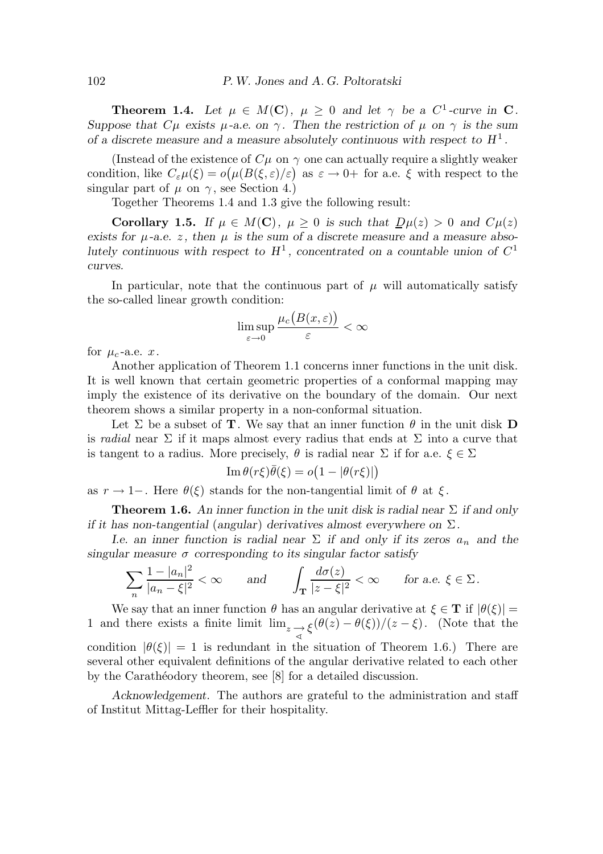**Theorem 1.4.** Let  $\mu \in M(\mathbb{C})$ ,  $\mu \geq 0$  and let  $\gamma$  be a  $C^1$ -curve in  $\mathbb{C}$ . Suppose that  $C\mu$  exists  $\mu$ -a.e. on  $\gamma$ . Then the restriction of  $\mu$  on  $\gamma$  is the sum of a discrete measure and a measure absolutely continuous with respect to  $H<sup>1</sup>$ .

(Instead of the existence of  $C\mu$  on  $\gamma$  one can actually require a slightly weaker condition, like  $C_{\varepsilon} \mu(\xi) = o(\mu(B(\xi, \varepsilon)/\varepsilon))$  as  $\varepsilon \to 0+$  for a.e.  $\xi$  with respect to the singular part of  $\mu$  on  $\gamma$ , see Section 4.)

Together Theorems 1.4 and 1.3 give the following result:

Corollary 1.5. If  $\mu \in M(C)$ ,  $\mu \geq 0$  is such that  $D\mu(z) > 0$  and  $C\mu(z)$ exists for  $\mu$ -a.e. z, then  $\mu$  is the sum of a discrete measure and a measure absolutely continuous with respect to  $H^1$ , concentrated on a countable union of  $C^1$ curves.

In particular, note that the continuous part of  $\mu$  will automatically satisfy the so-called linear growth condition:

$$
\limsup_{\varepsilon \to 0} \frac{\mu_c\big(B(x,\varepsilon)\big)}{\varepsilon} < \infty
$$

for  $\mu_c$ -a.e. x.

Another application of Theorem 1.1 concerns inner functions in the unit disk. It is well known that certain geometric properties of a conformal mapping may imply the existence of its derivative on the boundary of the domain. Our next theorem shows a similar property in a non-conformal situation.

Let  $\Sigma$  be a subset of **T**. We say that an inner function  $\theta$  in the unit disk **D** is radial near  $\Sigma$  if it maps almost every radius that ends at  $\Sigma$  into a curve that is tangent to a radius. More precisely,  $\theta$  is radial near  $\Sigma$  if for a.e.  $\xi \in \Sigma$ 

$$
\operatorname{Im} \theta(r\xi)\overline{\theta}(\xi) = o\big(1 - |\theta(r\xi)|\big)
$$

as  $r \to 1-$ . Here  $\theta(\xi)$  stands for the non-tangential limit of  $\theta$  at  $\xi$ .

**Theorem 1.6.** An inner function in the unit disk is radial near  $\Sigma$  if and only if it has non-tangential (angular) derivatives almost everywhere on  $\Sigma$ .

I.e. an inner function is radial near  $\Sigma$  if and only if its zeros  $a_n$  and the singular measure  $\sigma$  corresponding to its singular factor satisfy

$$
\sum_{n} \frac{1-|a_n|^2}{|a_n-\xi|^2} < \infty \quad \text{and} \quad \int_{\mathbf{T}} \frac{d\sigma(z)}{|z-\xi|^2} < \infty \quad \text{for a.e. } \xi \in \Sigma.
$$

We say that an inner function  $\theta$  has an angular derivative at  $\xi \in \mathbf{T}$  if  $|\theta(\xi)| =$ 1 and there exists a finite limit  $\lim_{z \to z} \frac{\xi(\theta(z) - \theta(\xi))/(z - \xi)}{\xi}$ . (Note that the condition  $|\theta(\xi)| = 1$  is redundant in the situation of Theorem 1.6.) There are several other equivalent definitions of the angular derivative related to each other by the Caratheodory theorem, see [8] for a detailed discussion.

Acknowledgement. The authors are grateful to the administration and staff of Institut Mittag-Leffler for their hospitality.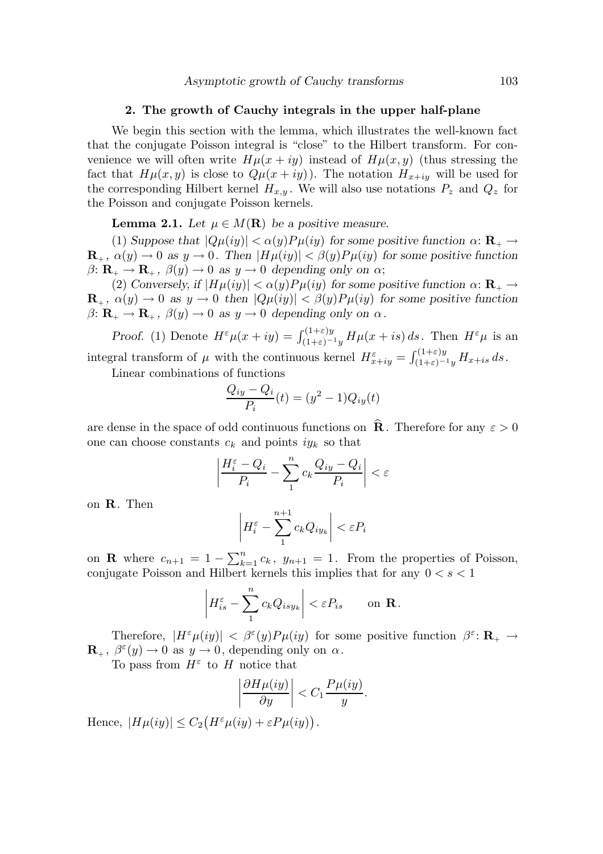#### 2. The growth of Cauchy integrals in the upper half-plane

We begin this section with the lemma, which illustrates the well-known fact that the conjugate Poisson integral is "close" to the Hilbert transform. For convenience we will often write  $H\mu(x+iy)$  instead of  $H\mu(x, y)$  (thus stressing the fact that  $H\mu(x, y)$  is close to  $Q\mu(x + iy)$ . The notation  $H_{x+iy}$  will be used for the corresponding Hilbert kernel  $H_{x,y}$ . We will also use notations  $P_z$  and  $Q_z$  for the Poisson and conjugate Poisson kernels.

**Lemma 2.1.** Let  $\mu \in M(\mathbf{R})$  be a positive measure.

(1) Suppose that  $|Q\mu(iy)| < \alpha(y)P\mu(iy)$  for some positive function  $\alpha: \mathbf{R}_{+} \to$  $\mathbf{R}_{+}$ ,  $\alpha(y) \to 0$  as  $y \to 0$ . Then  $|H\mu(iy)| < \beta(y)P\mu(iy)$  for some positive function  $\beta: \mathbf{R}_{+} \to \mathbf{R}_{+}$ ,  $\beta(y) \to 0$  as  $y \to 0$  depending only on  $\alpha$ ;

(2) Conversely, if  $|H\mu(iy)| < \alpha(y)P\mu(iy)$  for some positive function  $\alpha: \mathbf{R}_{+} \to$  $\mathbf{R}_{+}$ ,  $\alpha(y) \to 0$  as  $y \to 0$  then  $|Q\mu(iy)| < \beta(y)P\mu(iy)$  for some positive function  $\beta: \mathbf{R}_{+} \to \mathbf{R}_{+}, \ \beta(y) \to 0 \ \text{as} \ y \to 0 \ \text{depending only on } \alpha.$ 

Proof. (1) Denote  $H^{\varepsilon}\mu(x+iy) = \int_{(1+\varepsilon)-1y}^{(1+\varepsilon)y} H\mu(x+is) ds$ . Then  $H^{\varepsilon}\mu$  is an integral transform of  $\mu$  with the continuous kernel  $H_{x+iy}^{\varepsilon} = \int_{(1+\varepsilon)^{-1}y}^{(1+\varepsilon)y} H_{x+is} ds$ .

Linear combinations of functions

$$
\frac{Q_{iy} - Q_i}{P_i}(t) = (y^2 - 1)Q_{iy}(t)
$$

are dense in the space of odd continuous functions on  $\mathbf R$ . Therefore for any  $\varepsilon > 0$ one can choose constants  $c_k$  and points  $iy_k$  so that

$$
\left| \frac{H_i^{\varepsilon} - Q_i}{P_i} - \sum_1^n c_k \frac{Q_{iy} - Q_i}{P_i} \right| < \varepsilon
$$

on R. Then

$$
\left| H_i^{\varepsilon} - \sum_1^{n+1} c_k Q_{iy_k} \right| < \varepsilon P_i
$$

on **R** where  $c_{n+1} = 1 - \sum_{k=1}^{n} c_k$ ,  $y_{n+1} = 1$ . From the properties of Poisson, conjugate Poisson and Hilbert kernels this implies that for any  $0 < s < 1$ 

$$
\left| H_{is}^{\varepsilon} - \sum_{1}^{n} c_k Q_{isy_k} \right| < \varepsilon P_{is} \qquad \text{on } \mathbf{R}.
$$

Therefore,  $|H^{\varepsilon}\mu(iy)| < \beta^{\varepsilon}(y)P\mu(iy)$  for some positive function  $\beta^{\varepsilon} \colon \mathbf{R}_{+} \to$  $\mathbf{R}_{+}$ ,  $\beta^{\varepsilon}(y) \to 0$  as  $y \to 0$ , depending only on  $\alpha$ .

To pass from  $H^{\varepsilon}$  to H notice that

$$
\left|\frac{\partial H\mu(iy)}{\partial y}\right| < C_1 \frac{P\mu(iy)}{y}.
$$

Hence,  $|H\mu(iy)| \leq C_2 \big( H^{\varepsilon} \mu(iy) + \varepsilon P \mu(iy) \big)$ .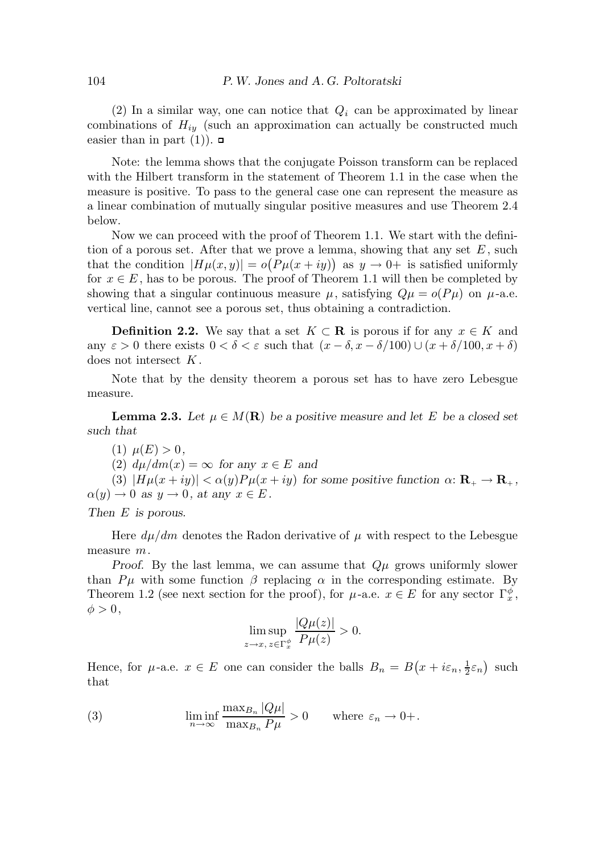(2) In a similar way, one can notice that  $Q_i$  can be approximated by linear combinations of  $H_{iy}$  (such an approximation can actually be constructed much easier than in part  $(1)$ ).  $\Box$ 

Note: the lemma shows that the conjugate Poisson transform can be replaced with the Hilbert transform in the statement of Theorem 1.1 in the case when the measure is positive. To pass to the general case one can represent the measure as a linear combination of mutually singular positive measures and use Theorem 2.4 below.

Now we can proceed with the proof of Theorem 1.1. We start with the definition of a porous set. After that we prove a lemma, showing that any set  $E$ , such that the condition  $|H\mu(x,y)| = o(P\mu(x+iy))$  as  $y \to 0^+$  is satisfied uniformly for  $x \in E$ , has to be porous. The proof of Theorem 1.1 will then be completed by showing that a singular continuous measure  $\mu$ , satisfying  $Q\mu = o(P\mu)$  on  $\mu$ -a.e. vertical line, cannot see a porous set, thus obtaining a contradiction.

**Definition 2.2.** We say that a set  $K \subset \mathbb{R}$  is porous if for any  $x \in K$  and any  $\varepsilon > 0$  there exists  $0 < \delta < \varepsilon$  such that  $(x - \delta, x - \delta/100) \cup (x + \delta/100, x + \delta)$ does not intersect  $K$ .

Note that by the density theorem a porous set has to have zero Lebesgue measure.

**Lemma 2.3.** Let  $\mu \in M(\mathbf{R})$  be a positive measure and let E be a closed set such that

(1)  $\mu(E) > 0$ ,

(2)  $d\mu/dm(x) = \infty$  for any  $x \in E$  and

(3)  $|H\mu(x+iy)| < \alpha(y)P\mu(x+iy)$  for some positive function  $\alpha: \mathbf{R}_{+} \to \mathbf{R}_{+}$ ,  $\alpha(y) \to 0$  as  $y \to 0$ , at any  $x \in E$ .

Then E is porous.

Here  $d\mu/dm$  denotes the Radon derivative of  $\mu$  with respect to the Lebesgue measure m.

Proof. By the last lemma, we can assume that  $Q\mu$  grows uniformly slower than  $P\mu$  with some function  $\beta$  replacing  $\alpha$  in the corresponding estimate. By Theorem 1.2 (see next section for the proof), for  $\mu$ -a.e.  $x \in E$  for any sector  $\Gamma_x^{\phi}$ ,  $\phi > 0,$ 

$$
\limsup_{z \to x, z \in \Gamma_x^{\phi}} \frac{|Q\mu(z)|}{P\mu(z)} > 0.
$$

Hence, for  $\mu$ -a.e.  $x \in E$  one can consider the balls  $B_n = B(x + i\varepsilon_n, \frac{1}{2})$  $\frac{1}{2}\varepsilon_n$ ) such that

(3) 
$$
\liminf_{n \to \infty} \frac{\max_{B_n} |Q\mu|}{\max_{B_n} P\mu} > 0 \quad \text{where } \varepsilon_n \to 0+.
$$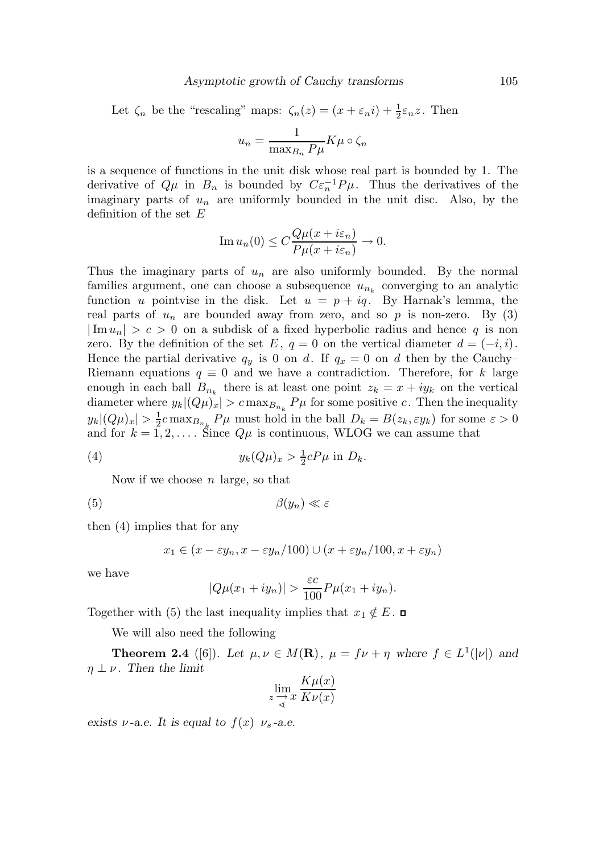Let  $\zeta_n$  be the "rescaling" maps:  $\zeta_n(z) = (x + \varepsilon_n i) + \frac{1}{2}$  $rac{1}{2}\varepsilon_n z$ . Then

$$
u_n = \frac{1}{\max_{B_n} P\mu} K\mu \circ \zeta_n
$$

is a sequence of functions in the unit disk whose real part is bounded by 1. The derivative of  $Q\mu$  in  $B_n$  is bounded by  $C\varepsilon_n^{-1}P\mu$ . Thus the derivatives of the imaginary parts of  $u_n$  are uniformly bounded in the unit disc. Also, by the definition of the set  $E$ 

Im 
$$
u_n(0) \leq C \frac{Q\mu(x + i\varepsilon_n)}{P\mu(x + i\varepsilon_n)} \to 0.
$$

Thus the imaginary parts of  $u_n$  are also uniformly bounded. By the normal families argument, one can choose a subsequence  $u_{n_k}$  converging to an analytic function u pointvise in the disk. Let  $u = p + iq$ . By Harnak's lemma, the real parts of  $u_n$  are bounded away from zero, and so p is non-zero. By (3)  $|\text{Im }u_n| > c > 0$  on a subdisk of a fixed hyperbolic radius and hence q is non zero. By the definition of the set E,  $q = 0$  on the vertical diameter  $d = (-i, i)$ . Hence the partial derivative  $q_y$  is 0 on d. If  $q_x = 0$  on d then by the Cauchy– Riemann equations  $q \equiv 0$  and we have a contradiction. Therefore, for k large enough in each ball  $B_{n_k}$  there is at least one point  $z_k = x + iy_k$  on the vertical diameter where  $y_k|(Q\mu)_x| > c \max_{B_{n_k}} P\mu$  for some positive c. Then the inequality  $y_k|(Q\mu)_x|>\frac{1}{2}$  $\frac{1}{2}c \max_{B_{n_k}} P\mu$  must hold in the ball  $D_k = B(z_k, \varepsilon y_k)$  for some  $\varepsilon > 0$ and for  $k = 1, 2, \ldots$ . Since  $Q\mu$  is continuous, WLOG we can assume that

(4) 
$$
y_k(Q\mu)_x > \frac{1}{2}cP\mu \text{ in } D_k.
$$

Now if we choose  $n$  large, so that

(5)  $\beta(y_n) \ll \varepsilon$ 

then (4) implies that for any

$$
x_1 \in (x - \varepsilon y_n, x - \varepsilon y_n/100) \cup (x + \varepsilon y_n/100, x + \varepsilon y_n)
$$

we have

$$
|Q\mu(x_1+iy_n)| > \frac{\varepsilon c}{100}P\mu(x_1+iy_n).
$$

Together with (5) the last inequality implies that  $x_1 \notin E$ . □

We will also need the following

**Theorem 2.4** ([6]). Let  $\mu, \nu \in M(\mathbf{R})$ ,  $\mu = f\nu + \eta$  where  $f \in L^1(|\nu|)$  and  $\eta \perp \nu$ . Then the limit

$$
\lim_{z \to x} \frac{K\mu(x)}{K\nu(x)}
$$

exists  $\nu$ -a.e. It is equal to  $f(x)$   $\nu_s$ -a.e.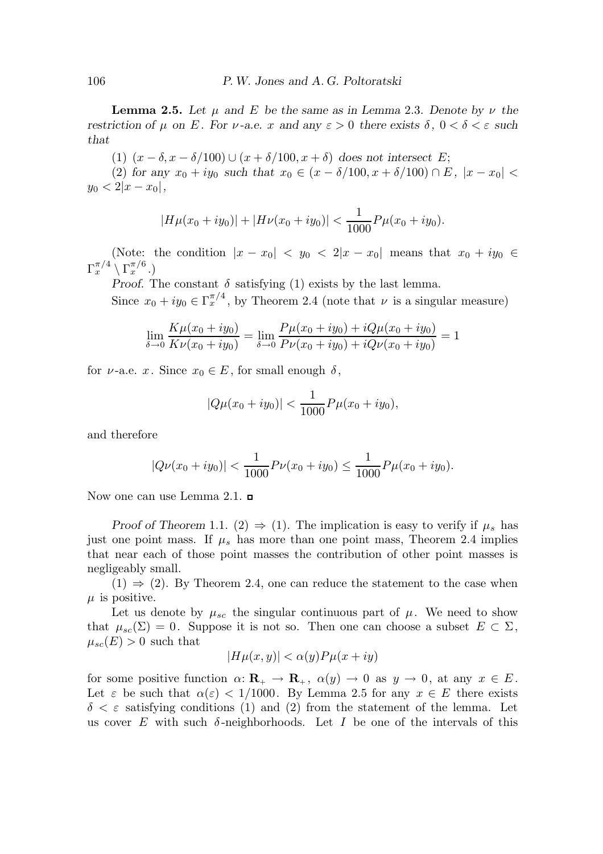**Lemma 2.5.** Let u and E be the same as in Lemma 2.3. Denote by  $\nu$  the restriction of  $\mu$  on E. For  $\nu$ -a.e. x and any  $\varepsilon > 0$  there exists  $\delta$ ,  $0 < \delta < \varepsilon$  such that

(1)  $(x - \delta, x - \delta/100) \cup (x + \delta/100, x + \delta)$  does not intersect E;

(2) for any  $x_0 + iy_0$  such that  $x_0 \in (x - \delta/100, x + \delta/100) \cap E$ ,  $|x - x_0|$  $y_0 < 2|x - x_0|$ ,

$$
|H\mu(x_0+iy_0)|+|H\nu(x_0+iy_0)|<\frac{1}{1000}P\mu(x_0+iy_0).
$$

(Note: the condition  $|x - x_0| < y_0 < 2|x - x_0|$  means that  $x_0 + iy_0 \in$  $\Gamma_x^{\pi/4} \setminus \Gamma_x^{\pi/6}$  .)

Proof. The constant  $\delta$  satisfying (1) exists by the last lemma.

Since  $x_0 + iy_0 \in \Gamma_x^{\pi/4}$ , by Theorem 2.4 (note that  $\nu$  is a singular measure)

$$
\lim_{\delta \to 0} \frac{K\mu(x_0 + iy_0)}{K\nu(x_0 + iy_0)} = \lim_{\delta \to 0} \frac{P\mu(x_0 + iy_0) + iQ\mu(x_0 + iy_0)}{P\nu(x_0 + iy_0) + iQ\nu(x_0 + iy_0)} = 1
$$

for  $\nu$ -a.e. x. Since  $x_0 \in E$ , for small enough  $\delta$ ,

$$
|Q\mu(x_0+iy_0)| < \frac{1}{1000}P\mu(x_0+iy_0),
$$

and therefore

$$
|Q\nu(x_0+iy_0)| < \frac{1}{1000}P\nu(x_0+iy_0) \le \frac{1}{1000}P\mu(x_0+iy_0).
$$

Now one can use Lemma 2.1.  $\Box$ 

Proof of Theorem 1.1. (2)  $\Rightarrow$  (1). The implication is easy to verify if  $\mu_s$  has just one point mass. If  $\mu_s$  has more than one point mass, Theorem 2.4 implies that near each of those point masses the contribution of other point masses is negligeably small.

 $(1) \Rightarrow (2)$ . By Theorem 2.4, one can reduce the statement to the case when  $\mu$  is positive.

Let us denote by  $\mu_{sc}$  the singular continuous part of  $\mu$ . We need to show that  $\mu_{sc}(\Sigma) = 0$ . Suppose it is not so. Then one can choose a subset  $E \subset \Sigma$ ,  $\mu_{sc}(E) > 0$  such that

$$
|H\mu(x,y)| < \alpha(y)P\mu(x+iy)
$$

for some positive function  $\alpha: \mathbf{R}_{+} \to \mathbf{R}_{+}$ ,  $\alpha(y) \to 0$  as  $y \to 0$ , at any  $x \in E$ . Let  $\varepsilon$  be such that  $\alpha(\varepsilon) < 1/1000$ . By Lemma 2.5 for any  $x \in E$  there exists  $\delta < \varepsilon$  satisfying conditions (1) and (2) from the statement of the lemma. Let us cover E with such  $\delta$ -neighborhoods. Let I be one of the intervals of this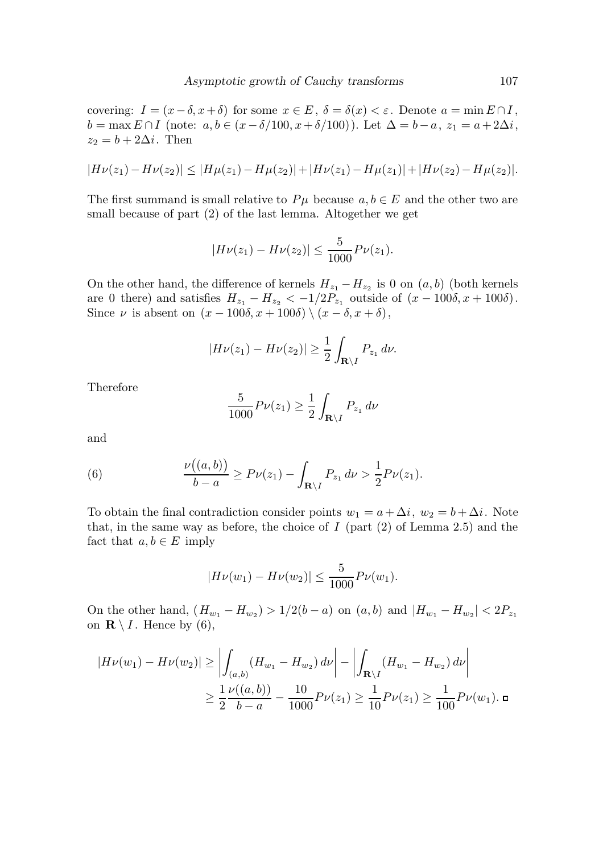covering:  $I = (x - \delta, x + \delta)$  for some  $x \in E$ ,  $\delta = \delta(x) < \varepsilon$ . Denote  $a = \min E \cap I$ ,  $b = \max E \cap I$  (note:  $a, b \in (x - \delta/100, x + \delta/100)$ ). Let  $\Delta = b - a, z_1 = a + 2\Delta i$ ,  $z_2 = b + 2\Delta i$ . Then

$$
|H\nu(z_1)-H\nu(z_2)|\leq |H\mu(z_1)-H\mu(z_2)|+|H\nu(z_1)-H\mu(z_1)|+|H\nu(z_2)-H\mu(z_2)|.
$$

The first summand is small relative to  $P\mu$  because  $a, b \in E$  and the other two are small because of part (2) of the last lemma. Altogether we get

$$
|H\nu(z_1) - H\nu(z_2)| \le \frac{5}{1000} P\nu(z_1).
$$

On the other hand, the difference of kernels  $H_{z_1} - H_{z_2}$  is 0 on  $(a, b)$  (both kernels are 0 there) and satisfies  $H_{z_1} - H_{z_2} < -1/2P_{z_1}$  outside of  $(x - 100\delta, x + 100\delta)$ . Since  $\nu$  is absent on  $(x - 100\delta, x + 100\delta) \setminus (x - \delta, x + \delta),$ 

$$
|H\nu(z_1)-H\nu(z_2)|\geq \frac{1}{2}\int_{\mathbf{R}\setminus I}P_{z_1}\,d\nu.
$$

Therefore

$$
\frac{5}{1000}P\nu(z_1) \ge \frac{1}{2}\int_{\mathbf{R}\backslash I} P_{z_1} d\nu
$$

and

(6) 
$$
\frac{\nu((a,b))}{b-a} \ge P\nu(z_1) - \int_{\mathbf{R}\setminus I} P_{z_1} d\nu > \frac{1}{2} P\nu(z_1).
$$

To obtain the final contradiction consider points  $w_1 = a + \Delta i$ ,  $w_2 = b + \Delta i$ . Note that, in the same way as before, the choice of  $I$  (part  $(2)$  of Lemma 2.5) and the fact that  $a, b \in E$  imply

$$
|H\nu(w_1) - H\nu(w_2)| \le \frac{5}{1000} P\nu(w_1).
$$

On the other hand,  $(H_{w_1} - H_{w_2}) > 1/2(b - a)$  on  $(a, b)$  and  $|H_{w_1} - H_{w_2}| < 2P_{z_1}$ on  $\mathbf{R} \setminus I$ . Hence by (6),

$$
|H\nu(w_1) - H\nu(w_2)| \ge \left| \int_{(a,b)} (H_{w_1} - H_{w_2}) \, d\nu \right| - \left| \int_{\mathbf{R}\setminus I} (H_{w_1} - H_{w_2}) \, d\nu \right|
$$
  

$$
\ge \frac{1}{2} \frac{\nu((a,b))}{b-a} - \frac{10}{1000} P\nu(z_1) \ge \frac{1}{10} P\nu(z_1) \ge \frac{1}{100} P\nu(w_1).
$$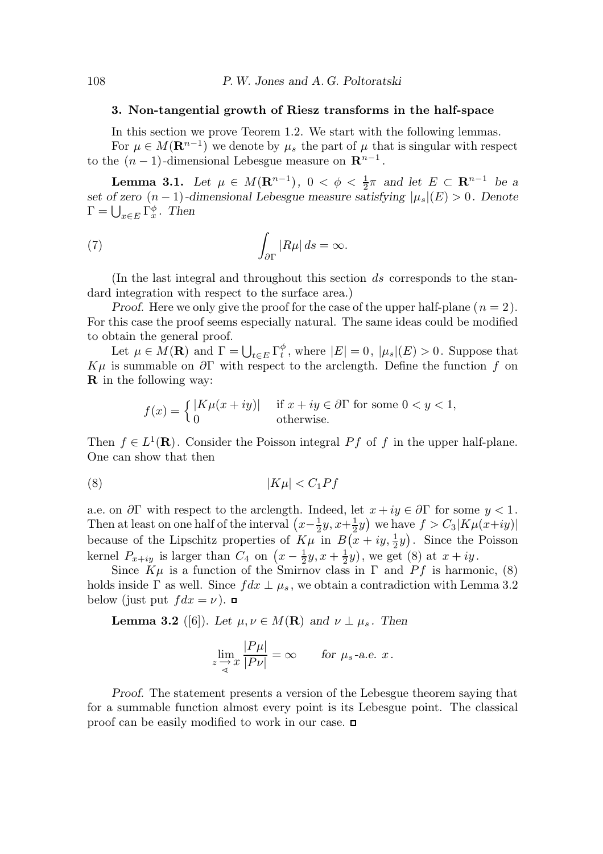### 3. Non-tangential growth of Riesz transforms in the half-space

In this section we prove Teorem 1.2. We start with the following lemmas.

For  $\mu \in M(\mathbf{R}^{n-1})$  we denote by  $\mu_s$  the part of  $\mu$  that is singular with respect to the  $(n-1)$ -dimensional Lebesgue measure on  $\mathbb{R}^{n-1}$ .

**Lemma 3.1.** Let  $\mu \in M(\mathbf{R}^{n-1}), 0 < \phi < \frac{1}{2}$  $\frac{1}{2}\pi$  and let  $E \subset \mathbf{R}^{n-1}$  be a set of zero  $(n-1)$ -dimensional Lebesgue measure satisfying  $|\mu_s|(E) > 0$ . Denote  $\Gamma = \bigcup_{x \in E} \Gamma_x^{\phi}$ . Then

(7) 
$$
\int_{\partial \Gamma} |R\mu| ds = \infty.
$$

(In the last integral and throughout this section  $ds$  corresponds to the standard integration with respect to the surface area.)

Proof. Here we only give the proof for the case of the upper half-plane  $(n = 2)$ . For this case the proof seems especially natural. The same ideas could be modified to obtain the general proof.

Let  $\mu \in M(\mathbf{R})$  and  $\Gamma = \bigcup_{t \in E} \Gamma_t^{\phi}$  $_t^{\varphi}$ , where  $|E| = 0$ ,  $|\mu_s|(E) > 0$ . Suppose that  $K\mu$  is summable on  $\partial\Gamma$  with respect to the arclength. Define the function f on R in the following way:

$$
f(x) = \begin{cases} |K\mu(x+iy)| & \text{if } x+iy \in \partial \Gamma \text{ for some } 0 < y < 1, \\ 0 & \text{otherwise.} \end{cases}
$$

Then  $f \in L^1(\mathbf{R})$ . Consider the Poisson integral Pf of f in the upper half-plane. One can show that then

$$
(8) \t\t\t |K\mu| < C_1Pf
$$

a.e. on  $\partial \Gamma$  with respect to the arclength. Indeed, let  $x + iy \in \partial \Gamma$  for some  $y < 1$ . Then at least on one half of the interval  $(x-\frac{1}{2})$  $rac{1}{2}y, x+\frac{1}{2}$  $(\frac{1}{2}y)$  we have  $f > C_3|K\mu(x+iy)|$ because of the Lipschitz properties of  $K\mu$  in  $B(x+iy, \frac{1}{2})$  $(\frac{1}{2}y)$ . Since the Poisson kernel  $P_{x+iy}$  is larger than  $C_4$  on  $\left(x-\frac{1}{2}\right)$  $\frac{1}{2}y, x + \frac{1}{2}$  $(\frac{1}{2}y)$ , we get (8) at  $x + iy$ .

Since  $K\mu$  is a function of the Smirnov class in  $\Gamma$  and  $Pf$  is harmonic, (8) holds inside  $\Gamma$  as well. Since  $fdx \perp \mu_s$ , we obtain a contradiction with Lemma 3.2 below (just put  $fdx = \nu$ ).

**Lemma 3.2** ([6]). Let  $\mu, \nu \in M(\mathbf{R})$  and  $\nu \perp \mu_s$ . Then

$$
\lim_{z \to x} \frac{|P\mu|}{|P\nu|} = \infty \quad \text{for } \mu_s \text{-a.e. } x.
$$

Proof. The statement presents a version of the Lebesgue theorem saying that for a summable function almost every point is its Lebesgue point. The classical proof can be easily modified to work in our case.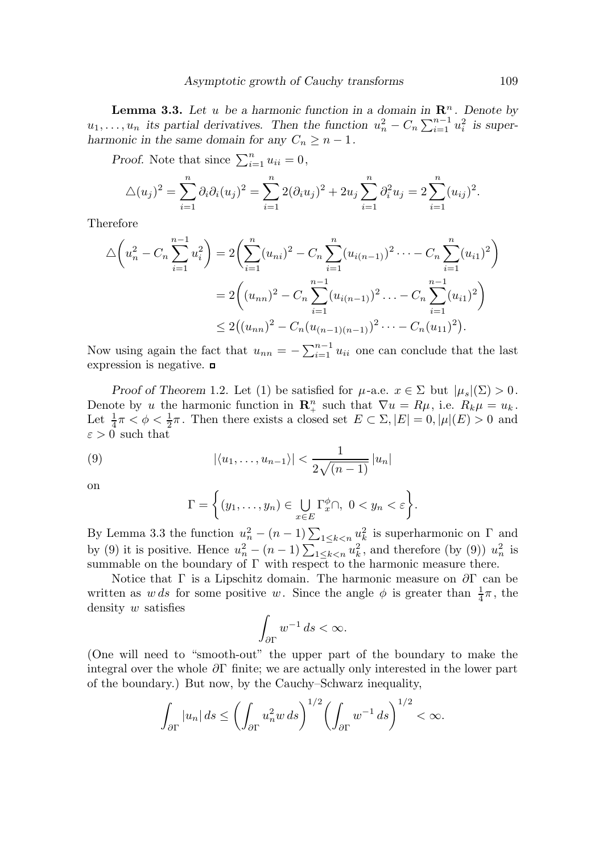**Lemma 3.3.** Let u be a harmonic function in a domain in  $\mathbb{R}^n$ . Denote by  $u_1, \ldots, u_n$  its partial derivatives. Then the function  $u_n^2 - C_n \sum_{i=1}^{n-1} u_i^2$  is superharmonic in the same domain for any  $C_n \geq n-1$ .

Proof. Note that since  $\sum_{i=1}^{n} u_{ii} = 0$ ,

$$
\Delta(u_j)^2 = \sum_{i=1}^n \partial_i \partial_i (u_j)^2 = \sum_{i=1}^n 2(\partial_i u_j)^2 + 2u_j \sum_{i=1}^n \partial_i^2 u_j = 2 \sum_{i=1}^n (u_{ij})^2.
$$

Therefore

$$
\Delta\left(u_n^2 - C_n \sum_{i=1}^{n-1} u_i^2\right) = 2\left(\sum_{i=1}^n (u_{ni})^2 - C_n \sum_{i=1}^n (u_{i(n-1)})^2 - C_n \sum_{i=1}^n (u_{i1})^2\right)
$$
  
= 
$$
2\left((u_{nn})^2 - C_n \sum_{i=1}^{n-1} (u_{i(n-1)})^2 - C_n \sum_{i=1}^{n-1} (u_{i1})^2\right)
$$
  

$$
\leq 2\left((u_{nn})^2 - C_n (u_{(n-1)(n-1)})^2 - C_n (u_{11})^2\right).
$$

Now using again the fact that  $u_{nn} = -\sum_{i=1}^{n-1} u_{ii}$  one can conclude that the last expression is negative.

Proof of Theorem 1.2. Let (1) be satisfied for  $\mu$ -a.e.  $x \in \Sigma$  but  $|\mu_s|(\Sigma) > 0$ . Denote by u the harmonic function in  $\mathbf{R}_{+}^{n}$  such that  $\nabla u = R\mu$ , i.e.  $R_{k}\mu = u_{k}$ . Let  $\frac{1}{4}\pi < \phi < \frac{1}{2}$  $\frac{1}{2}\pi$ . Then there exists a closed set  $E \subset \Sigma, |E| = 0, |\mu|(E) > 0$  and  $\varepsilon>0$  such that

(9) 
$$
|\langle u_1,\ldots,u_{n-1}\rangle| < \frac{1}{2\sqrt{(n-1)}}|u_n|
$$

on

$$
\Gamma = \left\{ (y_1, \dots, y_n) \in \bigcup_{x \in E} \Gamma_x^{\phi} \cap, \ 0 < y_n < \varepsilon \right\}.
$$

By Lemma 3.3 the function  $u_n^2 - (n-1) \sum_{1 \leq k < n} u_k^2$  is superharmonic on  $\Gamma$  and by (9) it is positive. Hence  $u_n^2 - (n-1) \sum_{1 \le k < n} u_k^2$ , and therefore (by (9))  $u_n^2$  is summable on the boundary of  $\Gamma$  with respect to the harmonic measure there.

Notice that Γ is a Lipschitz domain. The harmonic measure on  $\partial \Gamma$  can be written as w ds for some positive w. Since the angle  $\phi$  is greater than  $\frac{1}{4}\pi$ , the density w satisfies

$$
\int_{\partial \Gamma} w^{-1} ds < \infty.
$$

(One will need to "smooth-out" the upper part of the boundary to make the integral over the whole  $\partial\Gamma$  finite; we are actually only interested in the lower part of the boundary.) But now, by the Cauchy–Schwarz inequality,

$$
\int_{\partial \Gamma} |u_n| ds \le \left( \int_{\partial \Gamma} u_n^2 w ds \right)^{1/2} \left( \int_{\partial \Gamma} w^{-1} ds \right)^{1/2} < \infty.
$$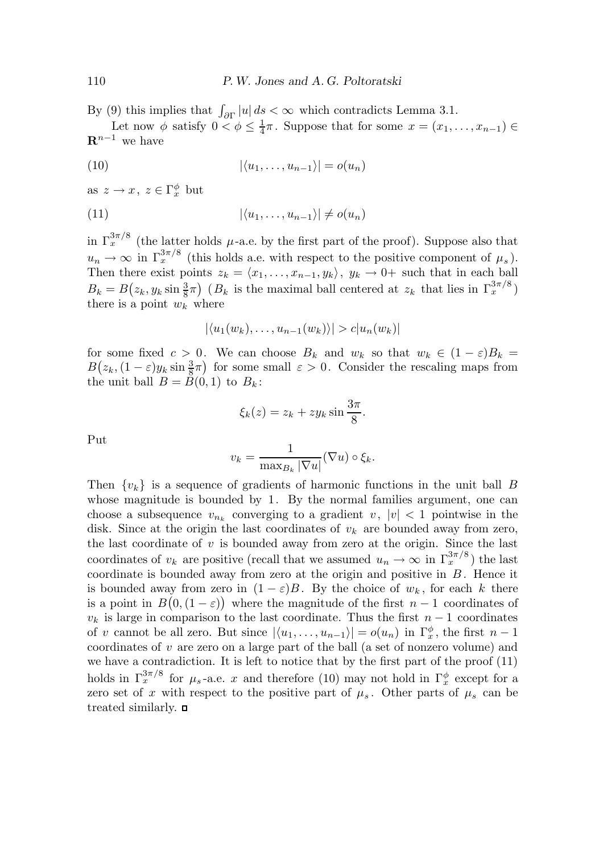By (9) this implies that  $\int_{\partial\Gamma} |u| ds < \infty$  which contradicts Lemma 3.1.

Let now  $\phi$  satisfy  $0 < \phi \leq \frac{1}{4}$  $\frac{1}{4}\pi$ . Suppose that for some  $x = (x_1, \ldots, x_{n-1}) \in$  $\mathbf{R}^{n-1}$  we have

$$
|\langle u_1, \ldots, u_{n-1} \rangle| = o(u_n)
$$

as  $z \to x, z \in \Gamma_x^{\phi}$  but

$$
|\langle u_1, \ldots, u_{n-1} \rangle| \neq o(u_n)
$$

in  $\Gamma_x^{3\pi/8}$  (the latter holds  $\mu$ -a.e. by the first part of the proof). Suppose also that  $u_n \to \infty$  in  $\Gamma_x^{3\pi/8}$  (this holds a.e. with respect to the positive component of  $\mu_s$ ). Then there exist points  $z_k = \langle x_1, \ldots, x_{n-1}, y_k \rangle$ ,  $y_k \to 0+$  such that in each ball  $B_k = B(z_k, y_k \sin \frac{3}{8}\pi)$  ( $B_k$  is the maximal ball centered at  $z_k$  that lies in  $\Gamma_x^{3\pi/8}$ ) there is a point  $w_k$  where

$$
|\langle u_1(w_k),\ldots,u_{n-1}(w_k)\rangle|>c|u_n(w_k)|
$$

for some fixed  $c > 0$ . We can choose  $B_k$  and  $w_k$  so that  $w_k \in (1 - \varepsilon)B_k =$  $B(z_k,(1-\varepsilon)y_k\sin\frac{3}{8}\pi)$  for some small  $\varepsilon>0$ . Consider the rescaling maps from the unit ball  $B = B(0, 1)$  to  $B_k$ :

$$
\xi_k(z) = z_k + z y_k \sin \frac{3\pi}{8}.
$$

Put

$$
v_k = \frac{1}{\max_{B_k} |\nabla u|} (\nabla u) \circ \xi_k.
$$

Then  $\{v_k\}$  is a sequence of gradients of harmonic functions in the unit ball B whose magnitude is bounded by 1. By the normal families argument, one can choose a subsequence  $v_{n_k}$  converging to a gradient  $v, |v| < 1$  pointwise in the disk. Since at the origin the last coordinates of  $v_k$  are bounded away from zero, the last coordinate of  $v$  is bounded away from zero at the origin. Since the last coordinates of  $v_k$  are positive (recall that we assumed  $u_n \to \infty$  in  $\Gamma_x^{3\pi/8}$ ) the last coordinate is bounded away from zero at the origin and positive in  $B$ . Hence it is bounded away from zero in  $(1 - \varepsilon)B$ . By the choice of  $w_k$ , for each k there is a point in  $B(0, (1 - \varepsilon))$  where the magnitude of the first  $n - 1$  coordinates of  $v_k$  is large in comparison to the last coordinate. Thus the first  $n-1$  coordinates of v cannot be all zero. But since  $|\langle u_1, \ldots, u_{n-1}\rangle| = o(u_n)$  in  $\Gamma_x^{\phi}$ , the first  $n-1$ coordinates of v are zero on a large part of the ball (a set of nonzero volume) and we have a contradiction. It is left to notice that by the first part of the proof (11) holds in  $\Gamma_x^{3\pi/8}$  for  $\mu_s$ -a.e. x and therefore (10) may not hold in  $\Gamma_x^{\phi}$  except for a zero set of x with respect to the positive part of  $\mu_s$ . Other parts of  $\mu_s$  can be treated similarly.  $\Box$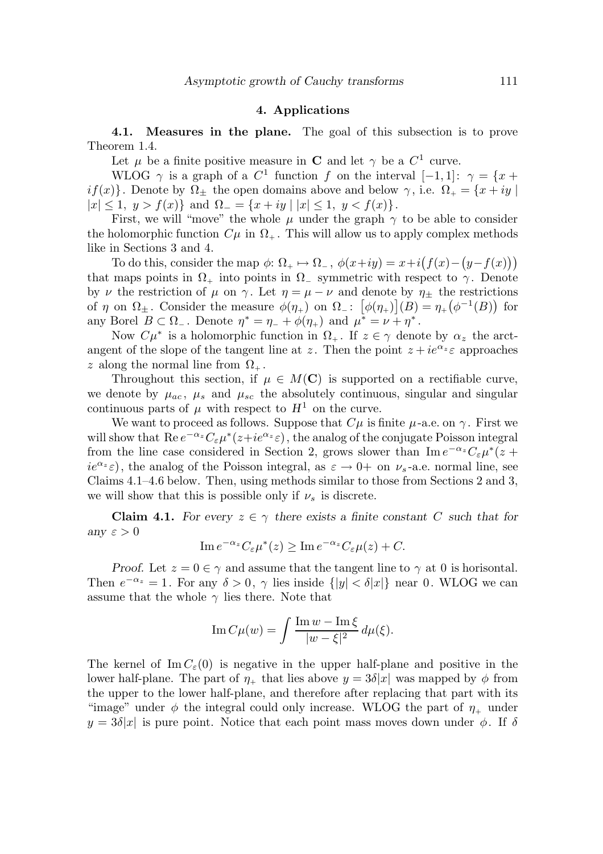#### 4. Applications

4.1. Measures in the plane. The goal of this subsection is to prove Theorem 1.4.

Let  $\mu$  be a finite positive measure in **C** and let  $\gamma$  be a  $C^1$  curve.

WLOG  $\gamma$  is a graph of a  $C^1$  function f on the interval  $[-1, 1]$ :  $\gamma = \{x +$ if(x). Denote by  $\Omega_{\pm}$  the open domains above and below  $\gamma$ , i.e.  $\Omega_{+} = \{x + iy \mid$  $|x| \leq 1, y > f(x)$  and  $\Omega = \{x + iy \mid |x| \leq 1, y < f(x)\}.$ 

First, we will "move" the whole  $\mu$  under the graph  $\gamma$  to be able to consider the holomorphic function  $C\mu$  in  $\Omega_{+}$ . This will allow us to apply complex methods like in Sections 3 and 4.

To do this, consider the map  $\phi: \Omega_+ \mapsto \Omega_-, \phi(x+iy) = x+i(f(x)-(y-f(x)))$ that maps points in  $\Omega_+$  into points in  $\Omega_-$  symmetric with respect to  $\gamma$ . Denote by  $\nu$  the restriction of  $\mu$  on  $\gamma$ . Let  $\eta = \mu - \nu$  and denote by  $\eta_{\pm}$  the restrictions of  $\eta$  on  $\Omega_{\pm}$ . Consider the measure  $\phi(\eta_+)$  on  $\Omega_{-}$ :  $[\phi(\eta_+)](B) = \eta_+(\phi^{-1}(B))$  for any Borel  $B \subset \Omega_-$ . Denote  $\eta^* = \eta_- + \phi(\eta_+)$  and  $\mu^* = \nu + \eta^*$ .

Now  $C\mu^*$  is a holomorphic function in  $\Omega_+$ . If  $z \in \gamma$  denote by  $\alpha_z$  the arctangent of the slope of the tangent line at z. Then the point  $z + i e^{\alpha z} \varepsilon$  approaches z along the normal line from  $\Omega_{+}$ .

Throughout this section, if  $\mu \in M(\mathbb{C})$  is supported on a rectifiable curve, we denote by  $\mu_{ac}$ ,  $\mu_{s}$  and  $\mu_{sc}$  the absolutely continuous, singular and singular continuous parts of  $\mu$  with respect to  $H^1$  on the curve.

We want to proceed as follows. Suppose that  $C\mu$  is finite  $\mu$ -a.e. on  $\gamma$ . First we will show that  $\text{Re } e^{-\alpha_z} C_\varepsilon \mu^*(z+ie^{\alpha_z}\varepsilon)$ , the analog of the conjugate Poisson integral from the line case considered in Section 2, grows slower than  $\text{Im } e^{-\alpha_z} C_\varepsilon \mu^*(z +$  $ie^{\alpha_z}\varepsilon$ , the analog of the Poisson integral, as  $\varepsilon \to 0+$  on  $\nu_s$ -a.e. normal line, see Claims 4.1–4.6 below. Then, using methods similar to those from Sections 2 and 3, we will show that this is possible only if  $\nu_s$  is discrete.

**Claim 4.1.** For every  $z \in \gamma$  there exists a finite constant C such that for any  $\varepsilon > 0$ 

Im 
$$
e^{-\alpha_z} C_{\varepsilon} \mu^*(z) \geq \text{Im } e^{-\alpha_z} C_{\varepsilon} \mu(z) + C.
$$

Proof. Let  $z = 0 \in \gamma$  and assume that the tangent line to  $\gamma$  at 0 is horisontal. Then  $e^{-\alpha_z} = 1$ . For any  $\delta > 0$ ,  $\gamma$  lies inside  $\{|y| < \delta |x|\}$  near 0. WLOG we can assume that the whole  $\gamma$  lies there. Note that

$$
\operatorname{Im} C\mu(w) = \int \frac{\operatorname{Im} w - \operatorname{Im} \xi}{|w - \xi|^2} d\mu(\xi).
$$

The kernel of Im  $C_{\varepsilon}(0)$  is negative in the upper half-plane and positive in the lower half-plane. The part of  $\eta_+$  that lies above  $y = 3\delta|x|$  was mapped by  $\phi$  from the upper to the lower half-plane, and therefore after replacing that part with its "image" under  $\phi$  the integral could only increase. WLOG the part of  $\eta_+$  under  $y = 3\delta|x|$  is pure point. Notice that each point mass moves down under  $\phi$ . If  $\delta$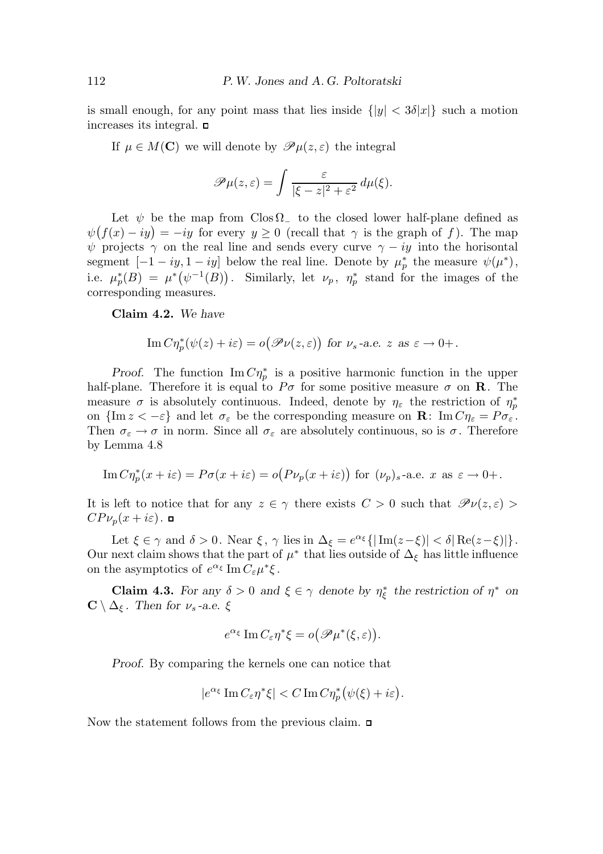is small enough, for any point mass that lies inside  $\{|y| < 3\delta |x|\}$  such a motion increases its integral.  $\Box$ 

If  $\mu \in M(\mathbb{C})$  we will denote by  $\mathscr{P}(\mu(z,\varepsilon))$  the integral

$$
\mathscr{P}\mu(z,\varepsilon)=\int\frac{\varepsilon}{|\xi-z|^2+\varepsilon^2}\,d\mu(\xi).
$$

Let  $\psi$  be the map from Clos  $\Omega$ <sub>-</sub> to the closed lower half-plane defined as  $\psi(f(x) - iy) = -iy$  for every  $y \ge 0$  (recall that  $\gamma$  is the graph of f). The map  $\psi$  projects  $\gamma$  on the real line and sends every curve  $\gamma - iy$  into the horisontal segment  $[-1 - iy, 1 - iy]$  below the real line. Denote by  $\mu_p^*$  the measure  $\psi(\mu^*),$ i.e.  $\mu_p^*(B) = \mu^*(\psi^{-1}(B)).$  Similarly, let  $\nu_p$ ,  $\eta_p^*$  stand for the images of the corresponding measures.

Claim 4.2. We have

Im 
$$
C\eta_p^*(\psi(z) + i\varepsilon) = o(\mathscr{P}\nu(z, \varepsilon))
$$
 for  $\nu_s$ -a.e.  $z$  as  $\varepsilon \to 0+$ .

*Proof.* The function  $\text{Im } C\eta_p^*$  is a positive harmonic function in the upper half-plane. Therefore it is equal to  $P\sigma$  for some positive measure  $\sigma$  on **R**. The measure  $\sigma$  is absolutely continuous. Indeed, denote by  $\eta_{\varepsilon}$  the restriction of  $\eta_{p}^{*}$ on  $\{\text{Im } z < -\varepsilon\}$  and let  $\sigma_{\varepsilon}$  be the corresponding measure on  $\mathbf{R}$ :  $\text{Im } C\eta_{\varepsilon} = P\sigma_{\varepsilon}$ . Then  $\sigma_{\varepsilon} \to \sigma$  in norm. Since all  $\sigma_{\varepsilon}$  are absolutely continuous, so is  $\sigma$ . Therefore by Lemma 4.8

Im 
$$
C\eta_p^*(x+i\varepsilon) = P\sigma(x+i\varepsilon) = o(P\nu_p(x+i\varepsilon))
$$
 for  $(\nu_p)_s$ -a.e. x as  $\varepsilon \to 0+$ .

It is left to notice that for any  $z \in \gamma$  there exists  $C > 0$  such that  $\mathscr{P}\nu(z,\varepsilon)$  $CP\nu_p(x+i\varepsilon)$ . о

Let  $\xi \in \gamma$  and  $\delta > 0$ . Near  $\xi$ ,  $\gamma$  lies in  $\Delta_{\xi} = e^{\alpha_{\xi}} \{ |\operatorname{Im}(z - \xi)| < \delta |\operatorname{Re}(z - \xi)| \}.$ Our next claim shows that the part of  $\mu^*$  that lies outside of  $\Delta_{\xi}$  has little influence on the asymptotics of  $e^{\alpha_{\xi}} \operatorname{Im} C_{\varepsilon} \mu^* \xi$ .

**Claim 4.3.** For any  $\delta > 0$  and  $\xi \in \gamma$  denote by  $\eta_{\xi}^*$  the restriction of  $\eta^*$  on  $\mathbf{C} \setminus \Delta_{\xi}$ . Then for  $\nu_s$ -a.e.  $\xi$ 

$$
e^{\alpha_{\xi}} \operatorname{Im} C_{\varepsilon} \eta^* \xi = o\big(\mathscr{P} \mu^*(\xi, \varepsilon)\big).
$$

Proof. By comparing the kernels one can notice that

$$
|e^{\alpha_{\xi}}\operatorname{Im}C_{\varepsilon}\eta^*\xi|
$$

Now the statement follows from the previous claim.  $\Box$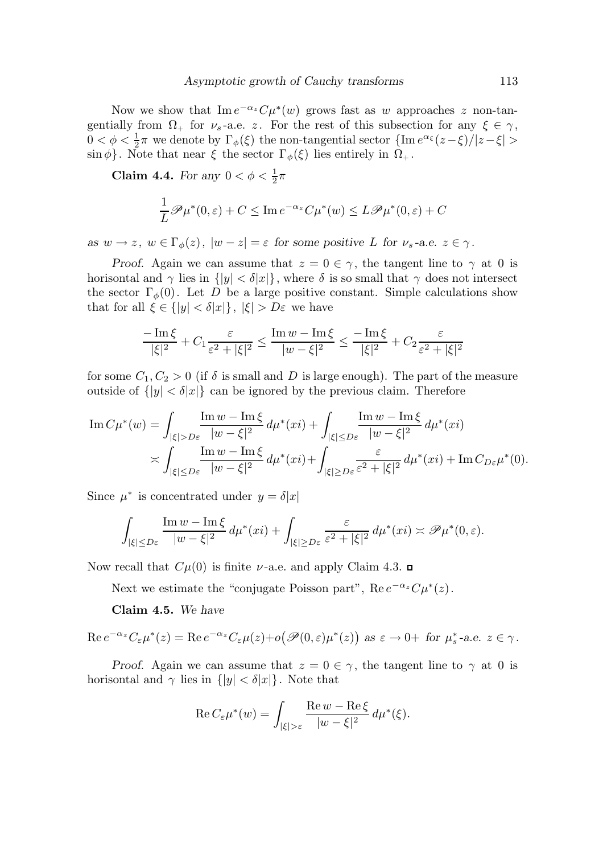Now we show that  $\text{Im } e^{-\alpha_z} C \mu^*(w)$  grows fast as w approaches z non-tangentially from  $\Omega_+$  for  $\nu_s$ -a.e. z. For the rest of this subsection for any  $\xi \in \gamma$ ,  $0 < \phi < \frac{1}{2}$  $\frac{1}{2}\pi$  we denote by  $\Gamma_{\phi}(\xi)$  the non-tangential sector  $\{\text{Im }e^{\alpha_{\xi}}(z-\xi)/|z-\xi|>\}$  $\sin \phi$ . Note that near  $\xi$  the sector  $\Gamma_{\phi}(\xi)$  lies entirely in  $\Omega_{+}$ .

Claim 4.4. For any  $0 < \phi < \frac{1}{2}$  $rac{1}{2}\pi$ 

$$
\frac{1}{L}\mathscr{P}\mu^*(0,\varepsilon) + C \leq \operatorname{Im} e^{-\alpha_z} C\mu^*(w) \leq L\mathscr{P}\mu^*(0,\varepsilon) + C
$$

as  $w \to z$ ,  $w \in \Gamma_{\phi}(z)$ ,  $|w - z| = \varepsilon$  for some positive L for  $\nu_s$ -a.e.  $z \in \gamma$ .

Proof. Again we can assume that  $z = 0 \in \gamma$ , the tangent line to  $\gamma$  at 0 is horisontal and  $\gamma$  lies in  $\{|y| < \delta |x|\}$ , where  $\delta$  is so small that  $\gamma$  does not intersect the sector  $\Gamma_{\phi}(0)$ . Let D be a large positive constant. Simple calculations show that for all  $\xi \in \{|y| < \delta |x|\}, |\xi| > D\varepsilon$  we have

$$
\frac{-\operatorname{Im}\xi}{|\xi|^2} + C_1 \frac{\varepsilon}{\varepsilon^2 + |\xi|^2} \le \frac{\operatorname{Im} w - \operatorname{Im}\xi}{|w - \xi|^2} \le \frac{-\operatorname{Im}\xi}{|\xi|^2} + C_2 \frac{\varepsilon}{\varepsilon^2 + |\xi|^2}
$$

for some  $C_1, C_2 > 0$  (if  $\delta$  is small and D is large enough). The part of the measure outside of  $\{|y| < \delta |x|\}$  can be ignored by the previous claim. Therefore

$$
\operatorname{Im} C\mu^*(w) = \int_{|\xi|>D\varepsilon} \frac{\operatorname{Im} w - \operatorname{Im} \xi}{|w-\xi|^2} d\mu^*(xi) + \int_{|\xi|\le D\varepsilon} \frac{\operatorname{Im} w - \operatorname{Im} \xi}{|w-\xi|^2} d\mu^*(xi) \n\asymp \int_{|\xi|\le D\varepsilon} \frac{\operatorname{Im} w - \operatorname{Im} \xi}{|w-\xi|^2} d\mu^*(xi) + \int_{|\xi|\ge D\varepsilon} \frac{\varepsilon}{\varepsilon^2 + |\xi|^2} d\mu^*(xi) + \operatorname{Im} C_{D\varepsilon} \mu^*(0).
$$

Since  $\mu^*$  is concentrated under  $y = \delta |x|$ 

$$
\int_{|\xi| \le D\varepsilon} \frac{\operatorname{Im} w - \operatorname{Im} \xi}{|w - \xi|^2} d\mu^*(xi) + \int_{|\xi| \ge D\varepsilon} \frac{\varepsilon}{\varepsilon^2 + |\xi|^2} d\mu^*(xi) \asymp \mathcal{P}\mu^*(0, \varepsilon).
$$

Now recall that  $C\mu(0)$  is finite *ν*-a.e. and apply Claim 4.3.  $\Box$ 

Next we estimate the "conjugate Poisson part",  $\text{Re } e^{-\alpha_z} C \mu^*(z)$ .

Claim 4.5. We have

$$
\operatorname{Re} e^{-\alpha_z} C_{\varepsilon} \mu^*(z) = \operatorname{Re} e^{-\alpha_z} C_{\varepsilon} \mu(z) + o\big(\mathscr{P}(0,\varepsilon)\mu^*(z)\big) \text{ as } \varepsilon \to 0+ \text{ for } \mu_s^* \text{-a.e. } z \in \gamma.
$$

Proof. Again we can assume that  $z = 0 \in \gamma$ , the tangent line to  $\gamma$  at 0 is horisontal and  $\gamma$  lies in  $\{|y| < \delta |x|\}$ . Note that

$$
\operatorname{Re} C_{\varepsilon} \mu^*(w) = \int_{|\xi| > \varepsilon} \frac{\operatorname{Re} w - \operatorname{Re} \xi}{|w - \xi|^2} d\mu^*(\xi).
$$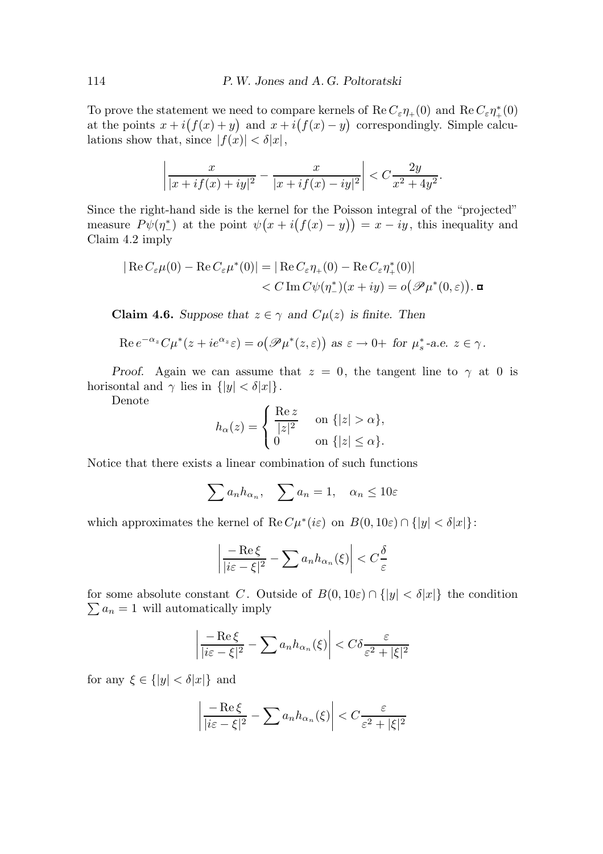To prove the statement we need to compare kernels of  $\text{Re } C_{\varepsilon} \eta_{+}(0)$  and  $\text{Re } C_{\varepsilon} \eta_{+}^{*}(0)$ at the points  $x + i(f(x) + y)$  and  $x + i(f(x) - y)$  correspondingly. Simple calculations show that, since  $|f(x)| < \delta |x|$ ,

$$
\left|\frac{x}{|x+if(x)+iy|^2} - \frac{x}{|x+if(x)-iy|^2}\right| < C\frac{2y}{x^2+4y^2}.
$$

Since the right-hand side is the kernel for the Poisson integral of the "projected" measure  $P\psi(\eta^*)$  at the point  $\psi(x+i(f(x)-y))=x-iy$ , this inequality and Claim 4.2 imply

$$
|\operatorname{Re} C_{\varepsilon} \mu(0) - \operatorname{Re} C_{\varepsilon} \mu^*(0)| = |\operatorname{Re} C_{\varepsilon} \eta_+(0) - \operatorname{Re} C_{\varepsilon} \eta_+^*(0)|
$$
  
< 
$$
< C \operatorname{Im} C\psi(\eta_-^*)(x + iy) = o(\mathscr{P}\mu^*(0,\varepsilon)).
$$

**Claim 4.6.** Suppose that  $z \in \gamma$  and  $C\mu(z)$  is finite. Then

Re 
$$
e^{-\alpha_z}C\mu^*(z+ie^{\alpha_z}\varepsilon) = o(\mathscr{P}\mu^*(z,\varepsilon))
$$
 as  $\varepsilon \to 0+$  for  $\mu_s^*$ -a.e.  $z \in \gamma$ .

Proof. Again we can assume that  $z = 0$ , the tangent line to  $\gamma$  at 0 is horisontal and  $\gamma$  lies in  $\{|y| < \delta |x|\}.$ 

Denote

$$
h_{\alpha}(z) = \begin{cases} \frac{\text{Re } z}{|z|^2} & \text{on } \{|z| > \alpha\}, \\ 0 & \text{on } \{|z| \le \alpha\}. \end{cases}
$$

Notice that there exists a linear combination of such functions

$$
\sum a_n h_{\alpha_n}, \quad \sum a_n = 1, \quad \alpha_n \le 10\varepsilon
$$

which approximates the kernel of  $\text{Re } C \mu^*(i\varepsilon)$  on  $B(0, 10\varepsilon) \cap \{|y| < \delta |x|\}.$ 

$$
\left| \frac{-\operatorname{Re}\xi}{|i\varepsilon - \xi|^2} - \sum a_n h_{\alpha_n}(\xi) \right| < C \frac{\delta}{\varepsilon}
$$

for some absolute constant C. Outside of  $B(0, 10\varepsilon) \cap \{|y| < \delta |x|\}$  the condition  $\sum a_n = 1$  will automatically imply

$$
\left| \frac{-\operatorname{Re} \xi}{|i\varepsilon - \xi|^2} - \sum a_n h_{\alpha_n}(\xi) \right| < C \delta \frac{\varepsilon}{\varepsilon^2 + |\xi|^2}
$$

for any  $\xi \in \{|y| < \delta |x|\}$  and

$$
\left| \frac{-\operatorname{Re}\xi}{|i\varepsilon - \xi|^2} - \sum a_n h_{\alpha_n}(\xi) \right| < C \frac{\varepsilon}{\varepsilon^2 + |\xi|^2}
$$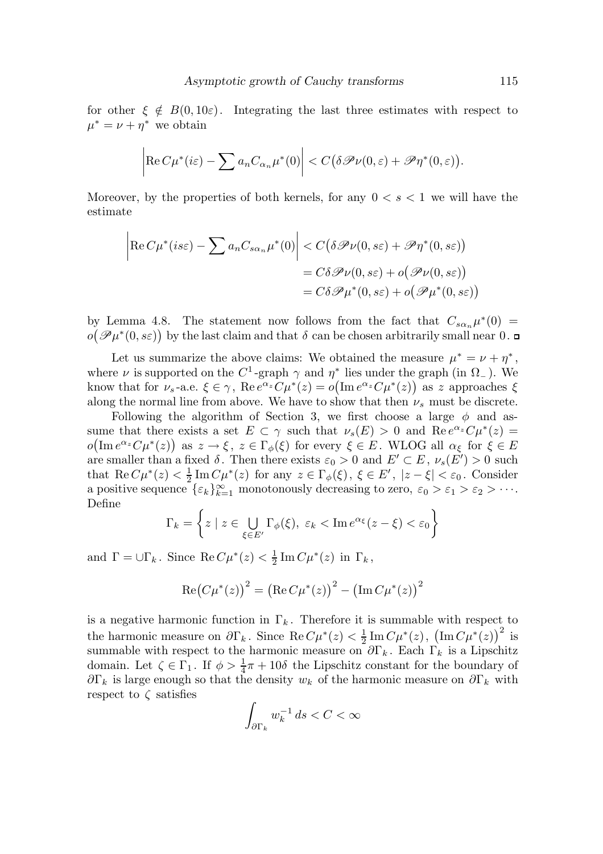for other  $\xi \notin B(0, 10\varepsilon)$ . Integrating the last three estimates with respect to  $\mu^* = \nu + \eta^*$  we obtain

$$
\left|\operatorname{Re} C\mu^*(i\varepsilon)-\sum a_n C_{\alpha_n}\mu^*(0)\right|< C\big(\delta\mathscr{P}\nu(0,\varepsilon)+\mathscr{P}\eta^*(0,\varepsilon)\big).
$$

Moreover, by the properties of both kernels, for any  $0 < s < 1$  we will have the estimate

$$
\left| \text{Re}\, C\mu^*(is\varepsilon) - \sum a_n C_{s\alpha_n} \mu^*(0) \right| < C\big(\delta \mathcal{P}\nu(0, s\varepsilon) + \mathcal{P}\eta^*(0, s\varepsilon)\big) \\
= C\delta \mathcal{P}\nu(0, s\varepsilon) + o\big(\mathcal{P}\nu(0, s\varepsilon)\big) \\
= C\delta \mathcal{P}\mu^*(0, s\varepsilon) + o\big(\mathcal{P}\mu^*(0, s\varepsilon)\big)
$$

by Lemma 4.8. The statement now follows from the fact that  $C_{s\alpha_n}\mu^*(0)$  =  $o(\mathscr{P}\mu^*(0, s\varepsilon))$  by the last claim and that  $\delta$  can be chosen arbitrarily small near 0.

Let us summarize the above claims: We obtained the measure  $\mu^* = \nu + \eta^*$ , where  $\nu$  is supported on the C<sup>1</sup>-graph  $\gamma$  and  $\eta^*$  lies under the graph (in  $\Omega$ <sub>-</sub>). We know that for  $\nu_s$ -a.e.  $\xi \in \gamma$ , Re  $e^{\alpha_z} C \mu^*(z) = o(\text{Im } e^{\alpha_z} C \mu^*(z))$  as z approaches  $\xi$ along the normal line from above. We have to show that then  $\nu_s$  must be discrete.

Following the algorithm of Section 3, we first choose a large  $\phi$  and assume that there exists a set  $E \subset \gamma$  such that  $\nu_s(E) > 0$  and  $\text{Re } e^{\alpha_z} C \mu^*(z) =$  $o(\operatorname{Im} e^{\alpha_z} C \mu^*(z))$  as  $z \to \xi$ ,  $z \in \Gamma_\phi(\xi)$  for every  $\xi \in E$ . WLOG all  $\alpha_\xi$  for  $\xi \in E$ are smaller than a fixed  $\delta$ . Then there exists  $\varepsilon_0 > 0$  and  $E' \subset E$ ,  $\nu_s(E') > 0$  such that Re  $C\mu^*(z) < \frac{1}{2}$  $\frac{1}{2} \text{Im} \, C \mu^*(z)$  for any  $z \in \Gamma_\phi(\xi)$ ,  $\xi \in E'$ ,  $|z - \xi| < \varepsilon_0$ . Consider a positive sequence  $\{\varepsilon_k\}_{k=1}^{\infty}$  monotonously decreasing to zero,  $\varepsilon_0 > \varepsilon_1 > \varepsilon_2 > \cdots$ . Define

$$
\Gamma_k = \left\{ z \mid z \in \bigcup_{\xi \in E'} \Gamma_{\phi}(\xi), \ \varepsilon_k < \text{Im} \, e^{\alpha_{\xi}}(z - \xi) < \varepsilon_0 \right\}
$$

and  $\Gamma = \cup \Gamma_k$ . Since  $\text{Re}\, C\mu^*(z) < \frac{1}{2}$  $\frac{1}{2}$  Im  $C\mu^*(z)$  in  $\Gamma_k$ ,

$$
\operatorname{Re}(C\mu^*(z))^{2} = (\operatorname{Re} C\mu^*(z))^{2} - (\operatorname{Im} C\mu^*(z))^{2}
$$

is a negative harmonic function in  $\Gamma_k$ . Therefore it is summable with respect to the harmonic measure on  $\partial \Gamma_k$ . Since  $\text{Re}\, C\mu^*(z) < \frac{1}{2}$  $\frac{1}{2} \text{Im} C \mu^*(z)$ ,  $(\text{Im} C \mu^*(z))^2$  is summable with respect to the harmonic measure on  $\partial \Gamma_k$ . Each  $\Gamma_k$  is a Lipschitz domain. Let  $\zeta \in \Gamma_1$ . If  $\phi > \frac{1}{4}$  $\frac{1}{4}\pi + 10\delta$  the Lipschitz constant for the boundary of  $\partial\Gamma_k$  is large enough so that the density  $w_k$  of the harmonic measure on  $\partial\Gamma_k$  with respect to  $\zeta$  satisfies

$$
\int_{\partial\Gamma_k} w_k^{-1}\,ds < C < \infty
$$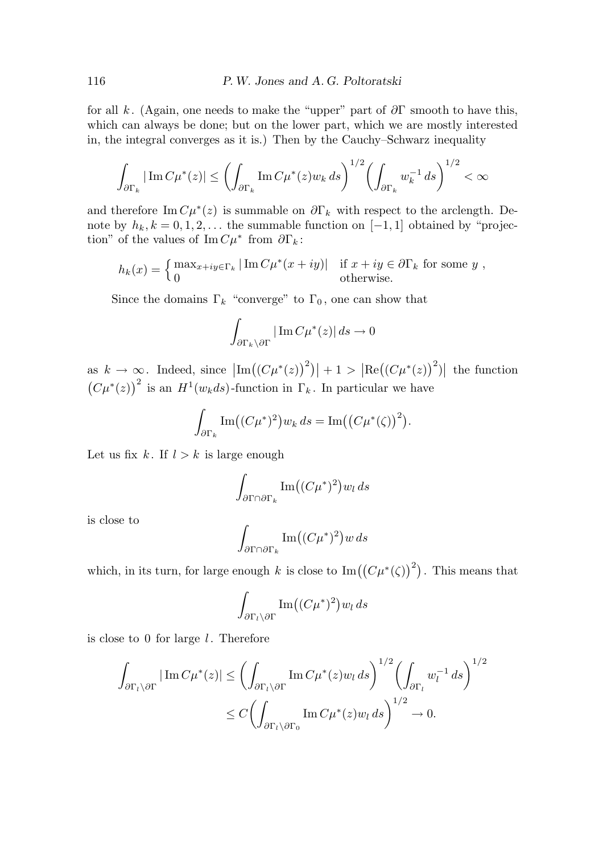for all k. (Again, one needs to make the "upper" part of  $\partial \Gamma$  smooth to have this, which can always be done; but on the lower part, which we are mostly interested in, the integral converges as it is.) Then by the Cauchy–Schwarz inequality

$$
\int_{\partial\Gamma_k} |\operatorname{Im} C\mu^*(z)| \le \left(\int_{\partial\Gamma_k} \operatorname{Im} C\mu^*(z)w_k ds\right)^{1/2} \left(\int_{\partial\Gamma_k} w_k^{-1} ds\right)^{1/2} < \infty
$$

and therefore Im  $C\mu^*(z)$  is summable on  $\partial \Gamma_k$  with respect to the arclength. Denote by  $h_k, k = 0, 1, 2, \ldots$  the summable function on  $[-1, 1]$  obtained by "projection" of the values of  $\text{Im}\,C\mu^*$  from  $\partial\Gamma_k$ :

$$
h_k(x) = \begin{cases} \max_{x+iy \in \Gamma_k} |\operatorname{Im} C\mu^*(x+iy)| & \text{if } x+iy \in \partial \Gamma_k \text{ for some } y, \\ 0 & \text{otherwise.} \end{cases}
$$

Since the domains  $\Gamma_k$  "converge" to  $\Gamma_0$ , one can show that

$$
\int_{\partial \Gamma_k \backslash \partial \Gamma} |\operatorname{Im} C\mu^*(z)| ds \to 0
$$

as  $k \to \infty$ . Indeed, since  $\left| \text{Im}((C\mu^*(z))^2) \right| + 1 > \left| \text{Re}((C\mu^*(z))^2) \right|$  the function  $(C\mu^*(z))^2$  is an  $H^1(w_kds)$ -function in  $\Gamma_k$ . In particular we have

$$
\int_{\partial \Gamma_k} \operatorname{Im}((C\mu^*)^2) w_k ds = \operatorname{Im}((C\mu^*(\zeta))^2).
$$

Let us fix k. If  $l > k$  is large enough

$$
\int_{\partial\Gamma\cap\partial\Gamma_k} \mathrm{Im}\big((C\mu^*)^2\big)w_l ds
$$

is close to

$$
\int_{\partial\Gamma\cap\partial\Gamma_k} \mathrm{Im}\big((C\mu^*)^2\big)w\,ds
$$

which, in its turn, for large enough k is close to  $\mathrm{Im}((C\mu^*(\zeta))^2)$ . This means that

$$
\int_{\partial \Gamma_l \setminus \partial \Gamma} \mathrm{Im} \big( (C \mu^*)^2 \big) w_l \, ds
$$

is close to 0 for large  $l$ . Therefore

$$
\int_{\partial \Gamma_l \setminus \partial \Gamma} |\operatorname{Im} C\mu^*(z)| \le \left( \int_{\partial \Gamma_l \setminus \partial \Gamma} \operatorname{Im} C\mu^*(z) w_l ds \right)^{1/2} \left( \int_{\partial \Gamma_l} w_l^{-1} ds \right)^{1/2}
$$
  

$$
\le C \left( \int_{\partial \Gamma_l \setminus \partial \Gamma_0} \operatorname{Im} C\mu^*(z) w_l ds \right)^{1/2} \to 0.
$$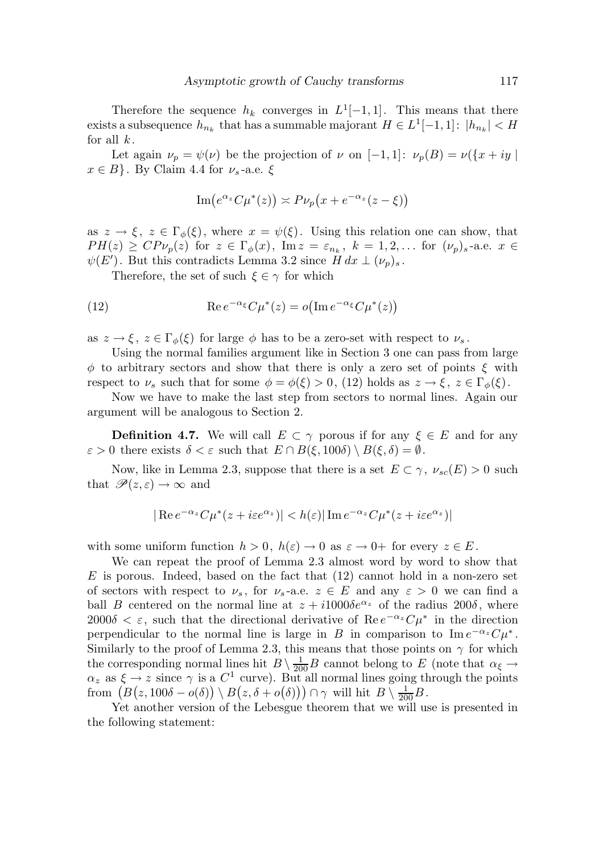Therefore the sequence  $h_k$  converges in  $L^1[-1,1]$ . This means that there exists a subsequence  $h_{n_k}$  that has a summable majorant  $H \in L^1[-1,1]$ :  $|h_{n_k}| < H$ for all  $k$ .

Let again  $\nu_p = \psi(\nu)$  be the projection of  $\nu$  on  $[-1, 1]$ :  $\nu_p(B) = \nu({x + iy \mid \mathcal{L})}$  $x \in B$ . By Claim 4.4 for  $\nu_s$ -a.e.  $\xi$ 

$$
\operatorname{Im}\bigl(e^{\alpha_z}C\mu^*(z)\bigr) \asymp P\nu_p\bigl(x + e^{-\alpha_z}(z - \xi)\bigr)
$$

as  $z \to \xi$ ,  $z \in \Gamma_{\phi}(\xi)$ , where  $x = \psi(\xi)$ . Using this relation one can show, that  $PH(z) \geq CP\nu_p(z)$  for  $z \in \Gamma_\phi(x)$ ,  $\text{Im } z = \varepsilon_{n_k}$ ,  $k = 1, 2, \dots$  for  $(\nu_p)_s$ -a.e.  $x \in$  $\psi(E')$ . But this contradicts Lemma 3.2 since  $H dx \perp (\nu_p)_s$ .

Therefore, the set of such  $\xi \in \gamma$  for which

(12) 
$$
\operatorname{Re} e^{-\alpha_{\xi}} C \mu^{*}(z) = o(\operatorname{Im} e^{-\alpha_{\xi}} C \mu^{*}(z))
$$

as  $z \to \xi$ ,  $z \in \Gamma_{\phi}(\xi)$  for large  $\phi$  has to be a zero-set with respect to  $\nu_s$ .

Using the normal families argument like in Section 3 one can pass from large  $\phi$  to arbitrary sectors and show that there is only a zero set of points  $\xi$  with respect to  $\nu_s$  such that for some  $\phi = \phi(\xi) > 0$ , (12) holds as  $z \to \xi$ ,  $z \in \Gamma_{\phi}(\xi)$ .

Now we have to make the last step from sectors to normal lines. Again our argument will be analogous to Section 2.

**Definition 4.7.** We will call  $E \subset \gamma$  porous if for any  $\xi \in E$  and for any  $\varepsilon > 0$  there exists  $\delta < \varepsilon$  such that  $E \cap B(\xi, 100\delta) \setminus B(\xi, \delta) = \emptyset$ .

Now, like in Lemma 2.3, suppose that there is a set  $E \subset \gamma$ ,  $\nu_{sc}(E) > 0$  such that  $\mathscr{P}(z,\varepsilon) \to \infty$  and

$$
|\operatorname{Re} e^{-\alpha_z} C\mu^*(z+i\varepsilon e^{\alpha_z})| < h(\varepsilon) |\operatorname{Im} e^{-\alpha_z} C\mu^*(z+i\varepsilon e^{\alpha_z})|
$$

with some uniform function  $h > 0$ ,  $h(\varepsilon) \to 0$  as  $\varepsilon \to 0+$  for every  $z \in E$ .

We can repeat the proof of Lemma 2.3 almost word by word to show that  $E$  is porous. Indeed, based on the fact that  $(12)$  cannot hold in a non-zero set of sectors with respect to  $\nu_s$ , for  $\nu_s$ -a.e.  $z \in E$  and any  $\varepsilon > 0$  we can find a ball B centered on the normal line at  $z + i1000\delta e^{\alpha z}$  of the radius  $200\delta$ , where 2000 $\delta < \varepsilon$ , such that the directional derivative of Re  $e^{-\alpha_z}C\mu^*$  in the direction perpendicular to the normal line is large in B in comparison to  $\text{Im } e^{-\alpha_z} C \mu^*$ . Similarly to the proof of Lemma 2.3, this means that those points on  $\gamma$  for which the corresponding normal lines hit  $B \setminus \frac{1}{200}B$  cannot belong to E (note that  $\alpha_{\xi} \to$  $\alpha_z$  as  $\xi \to z$  since  $\gamma$  is a  $C^1$  curve). But all normal lines going through the points from  $(B(z, 100\delta - o(\delta)) \setminus B(z, \delta + o(\delta))) \cap \gamma$  will hit  $B \setminus \frac{1}{200}B$ .

Yet another version of the Lebesgue theorem that we will use is presented in the following statement: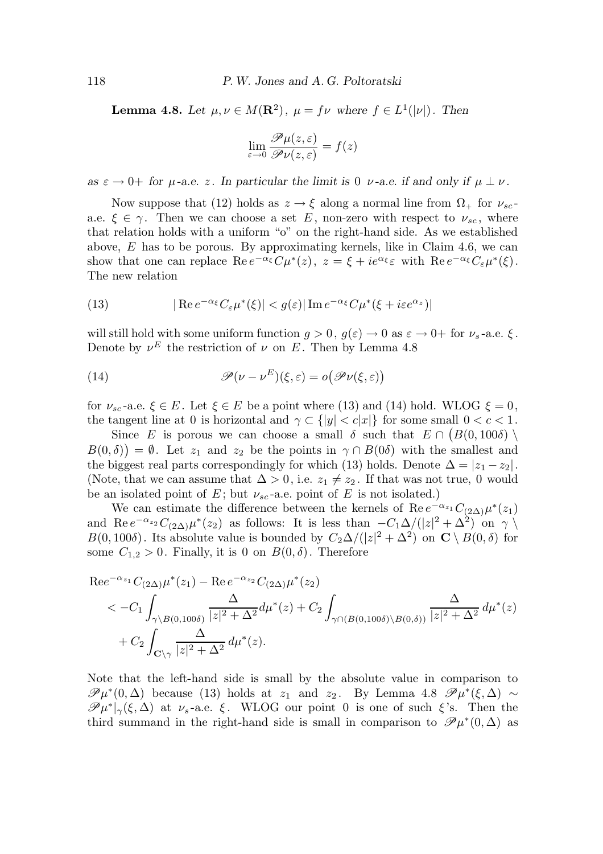**Lemma 4.8.** Let  $\mu, \nu \in M(\mathbf{R}^2)$ ,  $\mu = f\nu$  where  $f \in L^1(|\nu|)$ . Then

$$
\lim_{\varepsilon \to 0} \frac{\mathscr{P} \mu(z, \varepsilon)}{\mathscr{P} \nu(z, \varepsilon)} = f(z)
$$

as  $\varepsilon \to 0^+$  for  $\mu$ -a.e. z. In particular the limit is 0  $\nu$ -a.e. if and only if  $\mu \perp \nu$ .

Now suppose that (12) holds as  $z \to \xi$  along a normal line from  $\Omega_{+}$  for  $\nu_{sc}$ a.e.  $\xi \in \gamma$ . Then we can choose a set E, non-zero with respect to  $\nu_{sc}$ , where that relation holds with a uniform "o" on the right-hand side. As we established above,  $E$  has to be porous. By approximating kernels, like in Claim 4.6, we can show that one can replace  $\text{Re } e^{-\alpha_{\xi}} C \mu^*(z)$ ,  $z = \xi + ie^{\alpha_{\xi}} \varepsilon$  with  $\text{Re } e^{-\alpha_{\xi}} C_{\varepsilon} \mu^*(\xi)$ . The new relation

(13) 
$$
|\operatorname{Re} e^{-\alpha_{\xi}} C_{\varepsilon} \mu^{*}(\xi)| < g(\varepsilon) |\operatorname{Im} e^{-\alpha_{\xi}} C \mu^{*}(\xi + i\varepsilon e^{\alpha_{z}})|
$$

will still hold with some uniform function  $g > 0$ ,  $g(\varepsilon) \to 0$  as  $\varepsilon \to 0^+$  for  $\nu_s$ -a.e.  $\xi$ . Denote by  $\nu^E$  the restriction of  $\nu$  on E. Then by Lemma 4.8

(14) 
$$
\mathscr{P}(\nu - \nu^{E})(\xi, \varepsilon) = o(\mathscr{P}\nu(\xi, \varepsilon))
$$

for  $\nu_{sc}$ -a.e.  $\xi \in E$ . Let  $\xi \in E$  be a point where (13) and (14) hold. WLOG  $\xi = 0$ , the tangent line at 0 is horizontal and  $\gamma \subset \{|y| < c|x|\}$  for some small  $0 < c < 1$ .

Since E is porous we can choose a small  $\delta$  such that  $E \cap (B(0, 100\delta) \setminus$  $B(0,\delta) = \emptyset$ . Let  $z_1$  and  $z_2$  be the points in  $\gamma \cap B(0\delta)$  with the smallest and the biggest real parts correspondingly for which (13) holds. Denote  $\Delta = |z_1 - z_2|$ . (Note, that we can assume that  $\Delta > 0$ , i.e.  $z_1 \neq z_2$ . If that was not true, 0 would be an isolated point of E; but  $\nu_{sc}$ -a.e. point of E is not isolated.)

We can estimate the difference between the kernels of Re  $e^{-\alpha_{z_1}}C_{(2\Delta)}\mu^*(z_1)$ and Re  $e^{-\alpha_{z_2}}C_{(2\Delta)}\mu^*(z_2)$  as follows: It is less than  $-C_1\Delta/(|z|^2+\Delta^2)$  on  $\gamma \setminus$  $B(0, 100\delta)$ . Its absolute value is bounded by  $C_2\Delta/(|z|^2 + \Delta^2)$  on  $\mathbb{C}\setminus B(0, \delta)$  for some  $C_{1,2} > 0$ . Finally, it is 0 on  $B(0, \delta)$ . Therefore

$$
\begin{split} \text{Re} e^{-\alpha_{z_1}} C_{(2\Delta)} \mu^*(z_1) &- \text{Re} \, e^{-\alpha_{z_2}} C_{(2\Delta)} \mu^*(z_2) \\ &< -C_1 \int_{\gamma \backslash B(0,100\delta)} \frac{\Delta}{|z|^2 + \Delta^2} d\mu^*(z) + C_2 \int_{\gamma \cap (B(0,100\delta) \backslash B(0,\delta))} \frac{\Delta}{|z|^2 + \Delta^2} d\mu^*(z) \\ &+ C_2 \int_{\mathbf{C} \backslash \gamma} \frac{\Delta}{|z|^2 + \Delta^2} d\mu^*(z). \end{split}
$$

Note that the left-hand side is small by the absolute value in comparison to  $\mathscr{P}\mu^*(0,\Delta)$  because (13) holds at  $z_1$  and  $z_2$ . By Lemma 4.8  $\mathscr{P}\mu^*(\xi,\Delta) \sim$  $\mathscr{P}\mu^*|_{\gamma}(\xi,\Delta)$  at  $\nu_s$ -a.e.  $\xi$ . WLOG our point 0 is one of such  $\xi$ 's. Then the third summand in the right-hand side is small in comparison to  $\mathscr{P}\mu^*(0,\Delta)$  as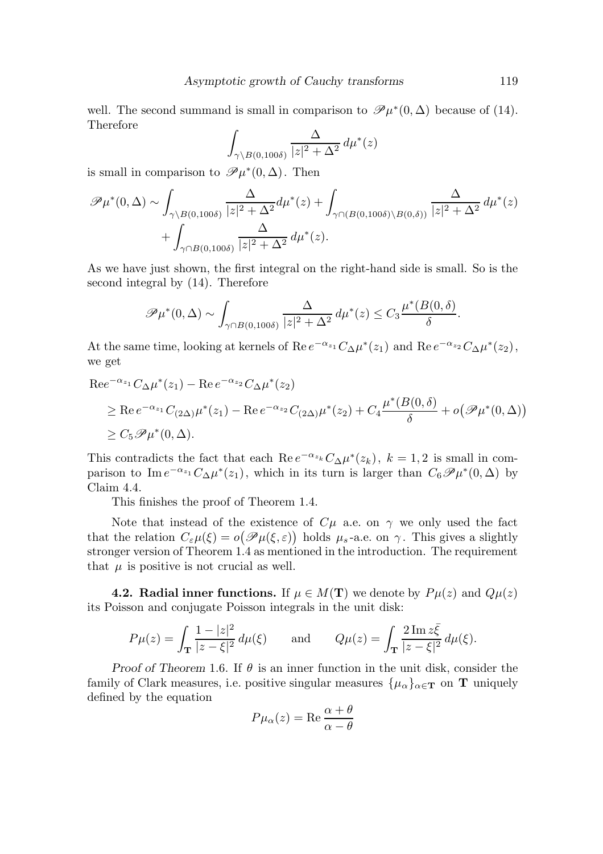well. The second summand is small in comparison to  $\mathscr{P}\mu^*(0,\Delta)$  because of (14). Therefore

$$
\int_{\gamma \setminus B(0,100\delta)} \frac{\Delta}{|z|^2 + \Delta^2} \, d\mu^*(z)
$$

is small in comparison to  $\mathscr{P}\mu^*(0,\Delta)$ . Then

$$
\mathscr{P}\mu^*(0,\Delta) \sim \int_{\gamma \backslash B(0,100\delta)} \frac{\Delta}{|z|^2 + \Delta^2} d\mu^*(z) + \int_{\gamma \cap (B(0,100\delta) \backslash B(0,\delta))} \frac{\Delta}{|z|^2 + \Delta^2} d\mu^*(z) + \int_{\gamma \cap B(0,100\delta)} \frac{\Delta}{|z|^2 + \Delta^2} d\mu^*(z).
$$

As we have just shown, the first integral on the right-hand side is small. So is the second integral by (14). Therefore

$$
\mathscr{P}\mu^*(0,\Delta) \sim \int_{\gamma \cap B(0,100\delta)} \frac{\Delta}{|z|^2 + \Delta^2} \, d\mu^*(z) \leq C_3 \frac{\mu^*(B(0,\delta))}{\delta}.
$$

At the same time, looking at kernels of Re  $e^{-\alpha_{z_1}}C_{\Delta}\mu^*(z_1)$  and Re  $e^{-\alpha_{z_2}}C_{\Delta}\mu^*(z_2)$ , we get

$$
\begin{aligned} \text{Re}e^{-\alpha_{z_1}} C_{\Delta} \mu^*(z_1) - \text{Re } e^{-\alpha_{z_2}} C_{\Delta} \mu^*(z_2) \\ &\geq \text{Re } e^{-\alpha_{z_1}} C_{(2\Delta)} \mu^*(z_1) - \text{Re } e^{-\alpha_{z_2}} C_{(2\Delta)} \mu^*(z_2) + C_4 \frac{\mu^*(B(0,\delta))}{\delta} + o(\mathcal{P}\mu^*(0,\Delta)) \\ &\geq C_5 \mathcal{P}\mu^*(0,\Delta). \end{aligned}
$$

This contradicts the fact that each Re  $e^{-\alpha_{z_k}}C_{\Delta}\mu^*(z_k)$ ,  $k = 1, 2$  is small in comparison to Im  $e^{-\alpha_{z_1}}C_{\Delta}\mu^*(z_1)$ , which in its turn is larger than  $C_6\mathscr{P}\mu^*(0,\Delta)$  by Claim 4.4.

This finishes the proof of Theorem 1.4.

Note that instead of the existence of  $C\mu$  a.e. on  $\gamma$  we only used the fact that the relation  $C_{\varepsilon}\mu(\xi) = o\big(\mathscr{P}\mu(\xi,\varepsilon)\big)$  holds  $\mu_s$ -a.e. on  $\gamma$ . This gives a slightly stronger version of Theorem 1.4 as mentioned in the introduction. The requirement that  $\mu$  is positive is not crucial as well.

**4.2. Radial inner functions.** If  $\mu \in M(T)$  we denote by  $P\mu(z)$  and  $Q\mu(z)$ its Poisson and conjugate Poisson integrals in the unit disk:

$$
P\mu(z) = \int_{\mathbf{T}} \frac{1 - |z|^2}{|z - \xi|^2} d\mu(\xi) \quad \text{and} \quad Q\mu(z) = \int_{\mathbf{T}} \frac{2 \operatorname{Im} z \bar{\xi}}{|z - \xi|^2} d\mu(\xi).
$$

Proof of Theorem 1.6. If  $\theta$  is an inner function in the unit disk, consider the family of Clark measures, i.e. positive singular measures  $\{\mu_{\alpha}\}_{{\alpha \in \mathbf{T}}}$  on T uniquely defined by the equation

$$
P\mu_{\alpha}(z) = \text{Re}\,\frac{\alpha + \theta}{\alpha - \theta}
$$